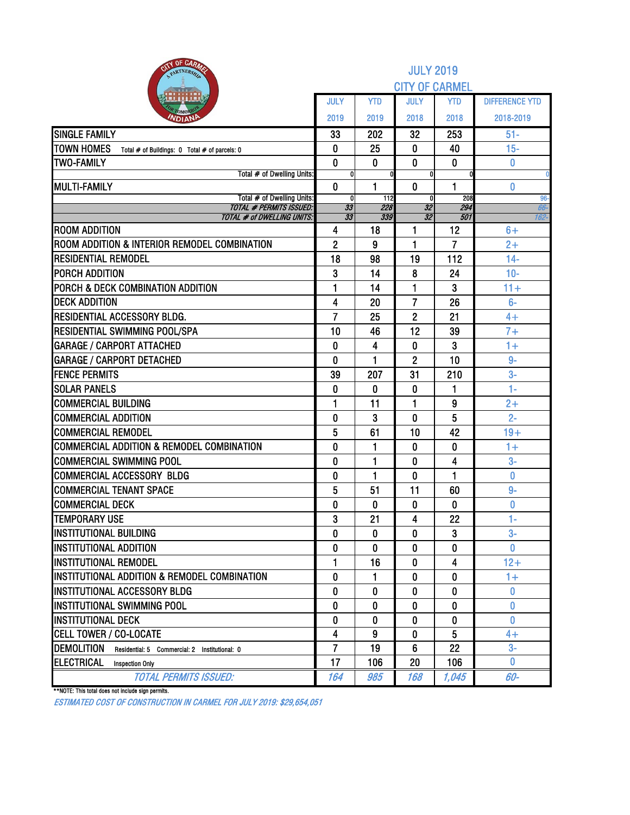| <b>BITY OF CARAZE</b><br>PARTNERSH                                 |                     |              | <b>JULY 2019</b>      |                      |                       |
|--------------------------------------------------------------------|---------------------|--------------|-----------------------|----------------------|-----------------------|
|                                                                    |                     |              | <b>CITY OF CARMEL</b> |                      |                       |
|                                                                    | <b>JULY</b>         | <b>YTD</b>   | <b>JULY</b>           | <b>YTD</b>           | <b>DIFFERENCE YTD</b> |
| омог<br><b>NDIAN</b>                                               | 2019                | 2019         | 2018                  | 2018                 | 2018-2019             |
| <b>SINGLE FAMILY</b>                                               | 33                  | 202          | 32                    | 253                  | $51 -$                |
| <b>TOWN HOMES</b><br>Total # of Buildings: 0 Total # of parcels: 0 | 0                   | 25           | 0                     | 40                   | $15-$                 |
| <b>TWO-FAMILY</b>                                                  | $\bf{0}$            | 0            | 0                     | 0                    | 0                     |
| Total # of Dwelling Units:                                         | 0                   |              | U                     |                      |                       |
| <b>MULTI-FAMILY</b><br>Total # of Dwelling Units:                  | $\mathbf{0}$<br>0   | 1<br>112     | $\mathbf{0}$<br>0     | 1<br>208             | 0<br>96-              |
| <b>TOTAL # PERMITS ISSUED:</b>                                     | 33                  | 228          | 32                    | 294                  | 66-                   |
| <b>TOTAL # of DWELLING UNITS:</b><br><b>ROOM ADDITION</b>          | $\overline{33}$     | 339          | 32                    | 501                  | $162 -$               |
| ROOM ADDITION & INTERIOR REMODEL COMBINATION                       | 4<br>$\overline{2}$ | 18<br>9      | 1<br>1                | 12<br>$\overline{7}$ | $6+$<br>$2+$          |
| <b>RESIDENTIAL REMODEL</b>                                         | 18                  | 98           | 19                    | 112                  | $14-$                 |
| <b>PORCH ADDITION</b>                                              | 3                   | 14           | 8                     | 24                   | $10-$                 |
| <b>PORCH &amp; DECK COMBINATION ADDITION</b>                       | 1                   | 14           | 1                     | 3                    | $11 +$                |
| <b>DECK ADDITION</b>                                               | 4                   | 20           | 7                     | 26                   | $6-$                  |
| <b>RESIDENTIAL ACCESSORY BLDG.</b>                                 | $\overline{7}$      | 25           | $\overline{2}$        | 21                   | $4+$                  |
| <b>RESIDENTIAL SWIMMING POOL/SPA</b>                               | 10                  | 46           | 12                    | 39                   | $7+$                  |
| <b>GARAGE / CARPORT ATTACHED</b>                                   | $\mathbf{0}$        | 4            | 0                     | 3                    | $1+$                  |
| <b>GARAGE / CARPORT DETACHED</b>                                   | 0                   | 1            | $\overline{2}$        | 10                   | $9-$                  |
| <b>FENCE PERMITS</b>                                               | 39                  | 207          | 31                    | 210                  | $3-$                  |
| <b>SOLAR PANELS</b>                                                | $\bf{0}$            | 0            | 0                     | 1                    | $1 -$                 |
| <b>COMMERCIAL BUILDING</b>                                         | 1                   | 11           | 1                     | 9                    | $2+$                  |
| <b>COMMERCIAL ADDITION</b>                                         | 0                   | 3            | 0                     | 5                    | $2 -$                 |
| <b>COMMERCIAL REMODEL</b>                                          | 5                   | 61           | 10                    | 42                   | $19+$                 |
| <b>COMMERCIAL ADDITION &amp; REMODEL COMBINATION</b>               | 0                   | 1            | 0                     | 0                    | $1+$                  |
| <b>COMMERCIAL SWIMMING POOL</b>                                    | 0                   | 1            | 0                     | 4                    | $3-$                  |
| COMMERCIAL ACCESSORY BLDG                                          | 0                   | 1            | 0                     | 1                    | 0                     |
| <b>COMMERCIAL TENANT SPACE</b>                                     | 5                   | 51           | 11                    | 60                   | $9-$                  |
| <b>COMMERCIAL DECK</b>                                             | 0                   | 0            | 0                     | 0                    | 0                     |
| <b>TEMPORARY USE</b>                                               | 3                   | 21           | 4                     | 22                   | 1-                    |
| <b>INSTITUTIONAL BUILDING</b>                                      | 0                   | 0            | $\mathbf{0}$          | 3                    | $3-$                  |
| <b>IINSTITUTIONAL ADDITION</b>                                     | 0                   | 0            | 0                     | 0                    | $\mathbf{0}$          |
| <b>INSTITUTIONAL REMODEL</b>                                       | 1                   | 16           | 0                     | 4                    | $12+$                 |
| IINSTITUTIONAL ADDITION & REMODEL COMBINATION                      | 0                   | 1            | 0                     | 0                    | $1+$                  |
| <b>IINSTITUTIONAL ACCESSORY BLDG</b>                               | 0                   | 0            | 0                     | 0                    | $\bf{0}$              |
| <b>INSTITUTIONAL SWIMMING POOL</b>                                 | $\mathbf{0}$        | $\mathbf{0}$ | $\Omega$              | 0                    | 0                     |
| <b>INSTITUTIONAL DECK</b>                                          | 0                   | 0            | 0                     | 0                    | 0                     |
| <b>CELL TOWER / CO-LOCATE</b>                                      | 4                   | 9            | 0                     | 5                    | $4+$                  |
| <b>DEMOLITION</b><br>Residential: 5 Commercial: 2 Institutional: 0 | $\overline{7}$      | 19           | 6                     | 22                   | $3-$                  |
| ELECTRICAL<br><b>Inspection Only</b>                               | 17                  | 106          | 20                    | 106                  | $\mathbf{0}$          |
| <b>TOTAL PERMITS ISSUED:</b>                                       | 164                 | 985          | 168                   | 1,045                | 60-                   |

\*\*NOTE: This total does not include sign permits.

ESTIMATED COST OF CONSTRUCTION IN CARMEL FOR JULY 2019: \$29,654,051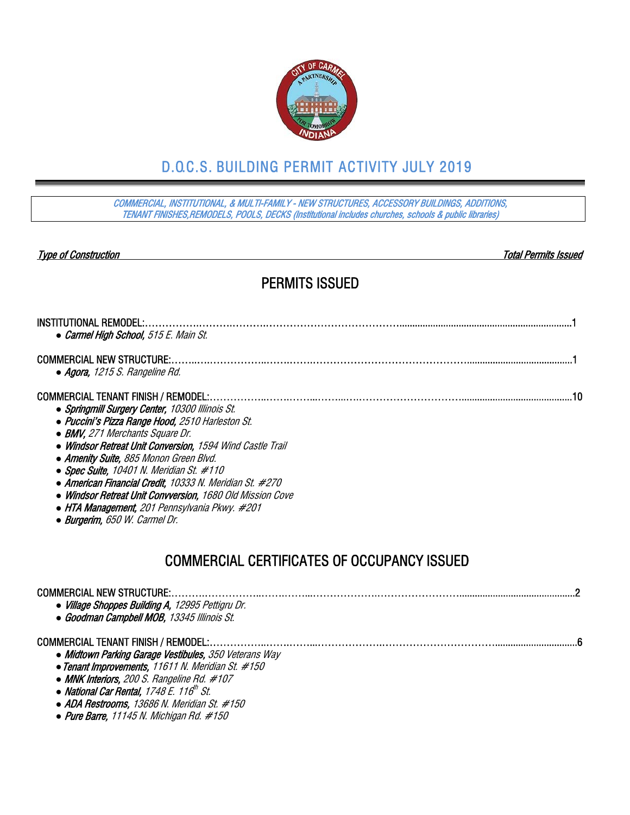

# D.O.C.S. BUILDING PERMIT ACTIVITY JULY 2019

COMMERCIAL, INSTITUTIONAL, & MULTI-FAMILY - NEW STRUCTURES, ACCESSORY BUILDINGS, ADDITIONS, TENANT FINISHES,REMODELS, POOLS, DECKS (Institutional includes churches, schools & public libraries)

Type of Construction Total Permits Issued

### PERMITS ISSUED

| <b>INSTITUTIONAL REMODEL:</b><br>• Carmel High School, 515 E. Main St.                                                                                                                                                                                                                                                                                                                                                                                                                                                                              |
|-----------------------------------------------------------------------------------------------------------------------------------------------------------------------------------------------------------------------------------------------------------------------------------------------------------------------------------------------------------------------------------------------------------------------------------------------------------------------------------------------------------------------------------------------------|
| <b>COMMERCIAL NEW STRUCTURE:</b><br>• Agora, 1215 S. Rangeline Rd.                                                                                                                                                                                                                                                                                                                                                                                                                                                                                  |
| <b>COMMERCIAL TENANT FINISH / REMODEL:</b><br>• Springmill Surgery Center, 10300 Illinois St.<br>• Puccini's Pizza Range Hood, 2510 Harleston St.<br>• BMV, 271 Merchants Square Dr.<br>• Windsor Retreat Unit Conversion, 1594 Wind Castle Trail<br>• Amenity Suite, 885 Monon Green Blvd.<br>• Spec Suite, 10401 N. Meridian St. $#110$<br>• American Financial Credit, 10333 N. Meridian St. #270<br>• Windsor Retreat Unit Convversion, 1680 Old Mission Cove<br>• HTA Management, 201 Pennsylvania Pkwy. #201<br>• Burgerim, 650 W. Carmel Dr. |
| <b>COMMERCIAL CERTIFICATES OF OCCUPANCY ISSUED</b>                                                                                                                                                                                                                                                                                                                                                                                                                                                                                                  |
| <b>COMMERCIAL NEW STRUCTURE:</b><br>• Village Shoppes Building A, 12995 Pettigru Dr.<br>• Goodman Campbell MOB, 13345 Illinois St.                                                                                                                                                                                                                                                                                                                                                                                                                  |
| <b>COMMERCIAL TENANT FINISH / REMODEL:</b><br>• Midtown Parking Garage Vestibules, 350 Veterans Way<br>• Tenant Improvements, 11611 N. Meridian St. #150<br>• MNK Interiors, 200 S. Rangeline Rd. #107<br>$\cdots$ $\cdots$ $\cdots$ $\cdots$                                                                                                                                                                                                                                                                                                       |

- **National Car Rental, 1748 E. 116<sup>th</sup> St.**
- *●* ADA Restrooms, 13686 N. Meridian St. #150
- *●* Pure Barre, 11145 N. Michigan Rd. #150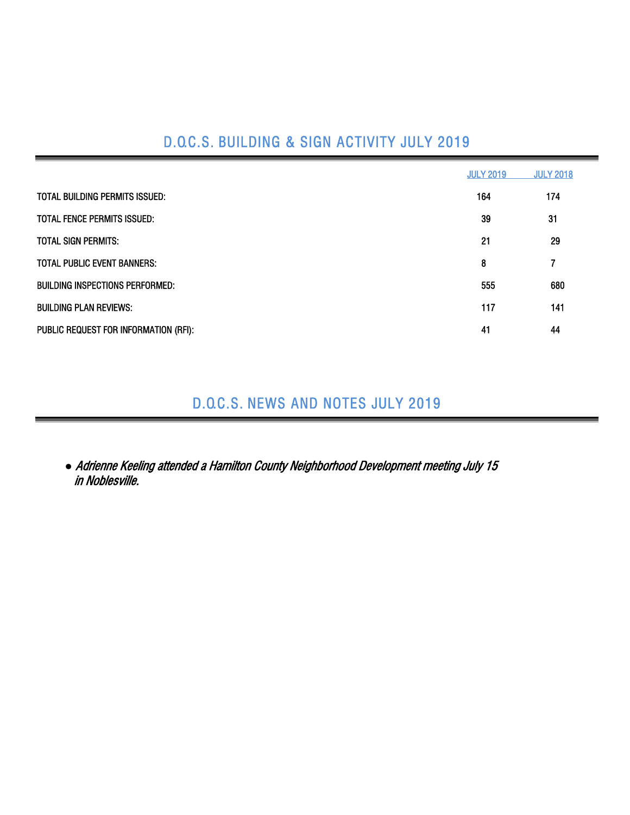# D.O.C.S. BUILDING & SIGN ACTIVITY JULY 2019

|                                       | <b>JULY 2019</b> | <b>JULY 2018</b> |
|---------------------------------------|------------------|------------------|
| TOTAL BUILDING PERMITS ISSUED:        | 164              | 174              |
| <b>TOTAL FENCE PERMITS ISSUED:</b>    | 39               | 31               |
| <b>TOTAL SIGN PERMITS:</b>            | 21               | 29               |
| <b>TOTAL PUBLIC EVENT BANNERS:</b>    | 8                | 7                |
| BUILDING INSPECTIONS PERFORMED:       | 555              | 680              |
| <b>BUILDING PLAN REVIEWS:</b>         | 117              | 141              |
| PUBLIC REQUEST FOR INFORMATION (RFI): | 41               | 44               |

## D.O.C.S. NEWS AND NOTES JULY 2019

*●* Adrienne Keeling attended a Hamilton County Neighborhood Development meeting July 15 in Noblesville.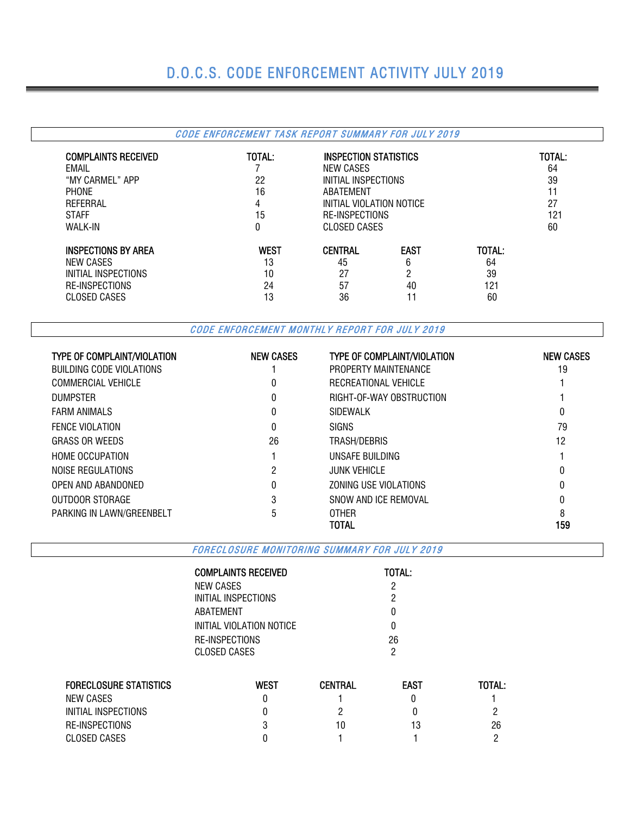## D.O.C.S. CODE ENFORCEMENT ACTIVITY JULY 2019

#### CODE ENFORCEMENT TASK REPORT SUMMARY FOR JULY 2019 COMPLAINTS RECEIVED TOTAL: INSPECTION STATISTICS TOTAL: EMAIL **EXAMPLE 2006 CONSUMING A RESERVING A SET ON A REVIOUS CONSUMING A RESERVING A SET OF A REPORT OF A RESERVING A SET OF A REPORT OF A REPORT OF A REPORT OF A REPORT OF A REPORT OF A REPORT OF A REPORT OF A REPORT OF** "MY CARMEL" APP 22 INITIAL INSPECTIONS 39 PHONE 11 ABATEMENT 16 ABATEMENT 11 REFERRAL 4 INITIAL VIOLATION NOTICE 27 STAFF 15 RE-INSPECTIONS 121 CLOSED CASES INSPECTIONS BY AREA<br>
Interview Cases Total:<br>
Interview Cases<br>
Interview Cases<br>
Interview Cases<br>
Interview Cases<br>
Interview Cases<br>
Interview Cases<br>
Interview Cases<br>
Interview Cases<br>
Interview Cases<br>
Interview Cases<br>
Intervi NEW CASES 64 64 64 64 65 65 664 65 66 64 65 66 65 66 65 66 65 66 65 66 65 66 65 66 65 66 65 66 65 66 65 66 65 INITIAL INSPECTIONS 10 27 2 39 RE-INSPECTIONS 24 57 40 121 CLOSED CASES 13 36 11 60

CODE ENFORCEMENT MONTHLY REPORT FOR JULY 2019

| <b>TYPE OF COMPLAINT/VIOLATION</b> | <b>NEW CASES</b> | <b>TYPE OF COMPLAINT/VIOLATION</b> | <b>NEW CASES</b> |
|------------------------------------|------------------|------------------------------------|------------------|
| BUILDING CODE VIOLATIONS           |                  | PROPERTY MAINTENANCE               | 19               |
| <b>COMMERCIAL VEHICLE</b>          | 0                | RECREATIONAL VEHICLE               |                  |
| <b>DUMPSTER</b>                    | 0                | RIGHT-OF-WAY OBSTRUCTION           |                  |
| <b>FARM ANIMALS</b>                | 0                | SIDEWALK                           | 0                |
| <b>FENCE VIOLATION</b>             | 0                | <b>SIGNS</b>                       | 79               |
| <b>GRASS OR WEEDS</b>              | 26               | TRASH/DEBRIS                       | 12               |
| <b>HOME OCCUPATION</b>             |                  | UNSAFE BUILDING                    |                  |
| NOISE REGULATIONS                  | 2                | <b>JUNK VEHICLE</b>                | 0                |
| OPEN AND ABANDONED                 | 0                | ZONING USE VIOLATIONS              | 0                |
| OUTDOOR STORAGE                    | 3                | SNOW AND ICE REMOVAL               |                  |
| PARKING IN LAWN/GREENBELT          | 5                | <b>OTHER</b>                       |                  |
|                                    |                  | TOTAL                              | 159              |

FORECLOSURE MONITORING SUMMARY FOR JULY 2019

| COMPLAINTS RECEIVED      | <b>TOTAL:</b> |
|--------------------------|---------------|
| NEW CASES                | 2             |
| INITIAL INSPECTIONS      | 2             |
| ABATEMENT                | O             |
| INITIAL VIOLATION NOTICE | O             |
| RE-INSPECTIONS           | 26            |
| CLOSED CASES             | 2             |

| <b>FORECLOSURE STATISTICS</b> | West | <b>CENTRAL</b> | <b>EAST</b> | TOTAL: |
|-------------------------------|------|----------------|-------------|--------|
| NEW CASES                     |      |                |             |        |
| INITIAL INSPECTIONS           |      |                |             |        |
| RE-INSPECTIONS                |      | 10             | 13          | 26     |
| CLOSED CASES                  |      |                |             |        |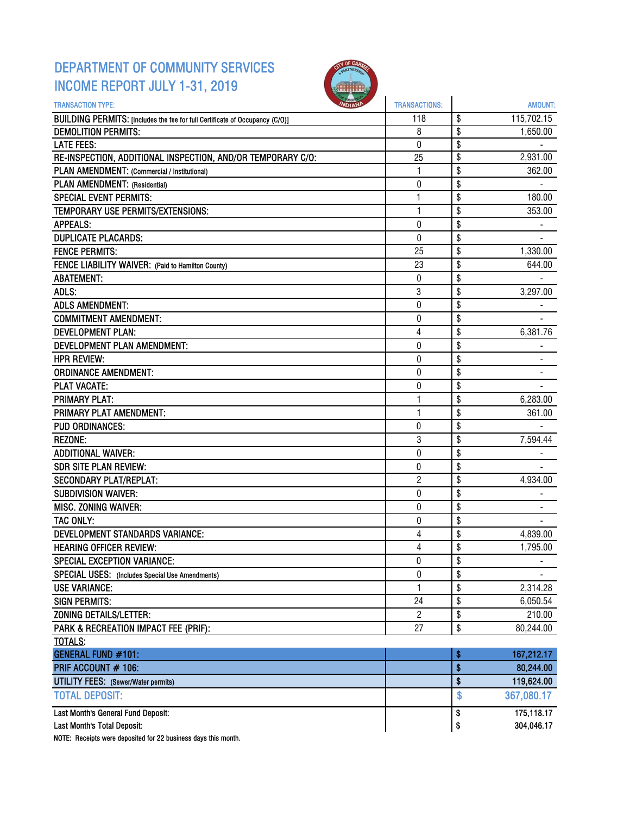### DEPARTMENT OF COMMUNITY SERVICES INCOME REPORT JULY 1-31, 2019



| \$<br>115,702.15<br>BUILDING PERMITS: [Includes the fee for full Certificate of Occupancy (C/O)]<br>118<br>\$<br>8<br><b>DEMOLITION PERMITS:</b><br>1,650.00<br>\$<br>0<br><b>LATE FEES:</b><br>\$<br>RE-INSPECTION, ADDITIONAL INSPECTION, AND/OR TEMPORARY C/O:<br>25<br>2,931.00<br>\$<br>PLAN AMENDMENT: (Commercial / Institutional)<br>1<br>362.00<br>PLAN AMENDMENT: (Residential)<br>\$<br>0<br>\$<br><b>SPECIAL EVENT PERMITS:</b><br>1<br>180.00<br>$\mathbf{1}$<br>\$<br>353.00<br>TEMPORARY USE PERMITS/EXTENSIONS:<br>0<br>\$<br><b>APPEALS:</b><br>\$<br><b>DUPLICATE PLACARDS:</b><br>0<br><b>FENCE PERMITS:</b><br>\$<br>25<br>1,330.00<br>\$<br>FENCE LIABILITY WAIVER: (Paid to Hamilton County)<br>23<br>644.00<br>\$<br><b>ABATEMENT:</b><br>0<br>ADLS:<br>3<br>\$<br>3,297.00<br>\$<br>$\pmb{0}$<br><b>ADLS AMENDMENT:</b><br>\$<br><b>COMMITMENT AMENDMENT:</b><br>0<br>4<br>\$<br>6,381.76<br><b>DEVELOPMENT PLAN:</b><br>\$<br>DEVELOPMENT PLAN AMENDMENT:<br>0<br>\$<br>$\mathbf 0$<br><b>HPR REVIEW:</b><br>0<br>\$<br><b>ORDINANCE AMENDMENT:</b><br>\$<br><b>PLAT VACATE:</b><br>0<br><b>PRIMARY PLAT:</b><br>1<br>\$<br>6,283.00<br>\$<br>PRIMARY PLAT AMENDMENT:<br>1<br>361.00<br>\$<br><b>PUD ORDINANCES:</b><br>0<br>3<br>\$<br><b>REZONE:</b><br>7,594.44<br>\$<br>$\pmb{0}$<br><b>ADDITIONAL WAIVER:</b><br>\$<br><b>SDR SITE PLAN REVIEW:</b><br>0<br><b>SECONDARY PLAT/REPLAT:</b><br>2<br>\$<br>4,934.00<br>\$<br><b>SUBDIVISION WAIVER:</b><br>0<br>\$<br>$\mathbf 0$<br>MISC. ZONING WAIVER:<br>\$<br><b>TAC ONLY:</b><br>0<br>\$<br><b>DEVELOPMENT STANDARDS VARIANCE:</b><br>4<br>4,839.00<br>\$<br><b>HEARING OFFICER REVIEW:</b><br>4<br>1,795.00<br>\$<br>SPECIAL EXCEPTION VARIANCE:<br>0<br>\$<br>0<br>SPECIAL USES: (Includes Special Use Amendments)<br>\$<br><b>USE VARIANCE:</b><br>1<br>2,314.28<br>\$<br><b>SIGN PERMITS:</b><br>24<br>6,050.54<br><b>ZONING DETAILS/LETTER:</b><br>$\overline{c}$<br>\$<br>210.00<br>PARK & RECREATION IMPACT FEE (PRIF):<br>\$<br>27<br>80,244.00<br><b>TOTALS:</b><br><b>GENERAL FUND #101:</b><br>167,212.17<br>\$<br>\$<br>PRIF ACCOUNT # 106:<br>80,244.00<br>\$<br>119,624.00<br><b>UTILITY FEES:</b> (Sewer/Water permits)<br><b>TOTAL DEPOSIT:</b><br>\$<br>367,080.17<br>Last Month's General Fund Deposit:<br>175,118.17<br>\$<br>304,046.17<br>Last Month's Total Deposit:<br>\$ | <b>TRANSACTION TYPE:</b> | <b>TRANSACTIONS:</b> | <b>AMOUNT:</b> |
|-----------------------------------------------------------------------------------------------------------------------------------------------------------------------------------------------------------------------------------------------------------------------------------------------------------------------------------------------------------------------------------------------------------------------------------------------------------------------------------------------------------------------------------------------------------------------------------------------------------------------------------------------------------------------------------------------------------------------------------------------------------------------------------------------------------------------------------------------------------------------------------------------------------------------------------------------------------------------------------------------------------------------------------------------------------------------------------------------------------------------------------------------------------------------------------------------------------------------------------------------------------------------------------------------------------------------------------------------------------------------------------------------------------------------------------------------------------------------------------------------------------------------------------------------------------------------------------------------------------------------------------------------------------------------------------------------------------------------------------------------------------------------------------------------------------------------------------------------------------------------------------------------------------------------------------------------------------------------------------------------------------------------------------------------------------------------------------------------------------------------------------------------------------------------------------------------------------------------------------------------------------------------------------------------------------------------------------------------------------------------------------|--------------------------|----------------------|----------------|
|                                                                                                                                                                                                                                                                                                                                                                                                                                                                                                                                                                                                                                                                                                                                                                                                                                                                                                                                                                                                                                                                                                                                                                                                                                                                                                                                                                                                                                                                                                                                                                                                                                                                                                                                                                                                                                                                                                                                                                                                                                                                                                                                                                                                                                                                                                                                                                                   |                          |                      |                |
|                                                                                                                                                                                                                                                                                                                                                                                                                                                                                                                                                                                                                                                                                                                                                                                                                                                                                                                                                                                                                                                                                                                                                                                                                                                                                                                                                                                                                                                                                                                                                                                                                                                                                                                                                                                                                                                                                                                                                                                                                                                                                                                                                                                                                                                                                                                                                                                   |                          |                      |                |
|                                                                                                                                                                                                                                                                                                                                                                                                                                                                                                                                                                                                                                                                                                                                                                                                                                                                                                                                                                                                                                                                                                                                                                                                                                                                                                                                                                                                                                                                                                                                                                                                                                                                                                                                                                                                                                                                                                                                                                                                                                                                                                                                                                                                                                                                                                                                                                                   |                          |                      |                |
|                                                                                                                                                                                                                                                                                                                                                                                                                                                                                                                                                                                                                                                                                                                                                                                                                                                                                                                                                                                                                                                                                                                                                                                                                                                                                                                                                                                                                                                                                                                                                                                                                                                                                                                                                                                                                                                                                                                                                                                                                                                                                                                                                                                                                                                                                                                                                                                   |                          |                      |                |
|                                                                                                                                                                                                                                                                                                                                                                                                                                                                                                                                                                                                                                                                                                                                                                                                                                                                                                                                                                                                                                                                                                                                                                                                                                                                                                                                                                                                                                                                                                                                                                                                                                                                                                                                                                                                                                                                                                                                                                                                                                                                                                                                                                                                                                                                                                                                                                                   |                          |                      |                |
|                                                                                                                                                                                                                                                                                                                                                                                                                                                                                                                                                                                                                                                                                                                                                                                                                                                                                                                                                                                                                                                                                                                                                                                                                                                                                                                                                                                                                                                                                                                                                                                                                                                                                                                                                                                                                                                                                                                                                                                                                                                                                                                                                                                                                                                                                                                                                                                   |                          |                      |                |
|                                                                                                                                                                                                                                                                                                                                                                                                                                                                                                                                                                                                                                                                                                                                                                                                                                                                                                                                                                                                                                                                                                                                                                                                                                                                                                                                                                                                                                                                                                                                                                                                                                                                                                                                                                                                                                                                                                                                                                                                                                                                                                                                                                                                                                                                                                                                                                                   |                          |                      |                |
|                                                                                                                                                                                                                                                                                                                                                                                                                                                                                                                                                                                                                                                                                                                                                                                                                                                                                                                                                                                                                                                                                                                                                                                                                                                                                                                                                                                                                                                                                                                                                                                                                                                                                                                                                                                                                                                                                                                                                                                                                                                                                                                                                                                                                                                                                                                                                                                   |                          |                      |                |
|                                                                                                                                                                                                                                                                                                                                                                                                                                                                                                                                                                                                                                                                                                                                                                                                                                                                                                                                                                                                                                                                                                                                                                                                                                                                                                                                                                                                                                                                                                                                                                                                                                                                                                                                                                                                                                                                                                                                                                                                                                                                                                                                                                                                                                                                                                                                                                                   |                          |                      |                |
|                                                                                                                                                                                                                                                                                                                                                                                                                                                                                                                                                                                                                                                                                                                                                                                                                                                                                                                                                                                                                                                                                                                                                                                                                                                                                                                                                                                                                                                                                                                                                                                                                                                                                                                                                                                                                                                                                                                                                                                                                                                                                                                                                                                                                                                                                                                                                                                   |                          |                      |                |
|                                                                                                                                                                                                                                                                                                                                                                                                                                                                                                                                                                                                                                                                                                                                                                                                                                                                                                                                                                                                                                                                                                                                                                                                                                                                                                                                                                                                                                                                                                                                                                                                                                                                                                                                                                                                                                                                                                                                                                                                                                                                                                                                                                                                                                                                                                                                                                                   |                          |                      |                |
|                                                                                                                                                                                                                                                                                                                                                                                                                                                                                                                                                                                                                                                                                                                                                                                                                                                                                                                                                                                                                                                                                                                                                                                                                                                                                                                                                                                                                                                                                                                                                                                                                                                                                                                                                                                                                                                                                                                                                                                                                                                                                                                                                                                                                                                                                                                                                                                   |                          |                      |                |
|                                                                                                                                                                                                                                                                                                                                                                                                                                                                                                                                                                                                                                                                                                                                                                                                                                                                                                                                                                                                                                                                                                                                                                                                                                                                                                                                                                                                                                                                                                                                                                                                                                                                                                                                                                                                                                                                                                                                                                                                                                                                                                                                                                                                                                                                                                                                                                                   |                          |                      |                |
|                                                                                                                                                                                                                                                                                                                                                                                                                                                                                                                                                                                                                                                                                                                                                                                                                                                                                                                                                                                                                                                                                                                                                                                                                                                                                                                                                                                                                                                                                                                                                                                                                                                                                                                                                                                                                                                                                                                                                                                                                                                                                                                                                                                                                                                                                                                                                                                   |                          |                      |                |
|                                                                                                                                                                                                                                                                                                                                                                                                                                                                                                                                                                                                                                                                                                                                                                                                                                                                                                                                                                                                                                                                                                                                                                                                                                                                                                                                                                                                                                                                                                                                                                                                                                                                                                                                                                                                                                                                                                                                                                                                                                                                                                                                                                                                                                                                                                                                                                                   |                          |                      |                |
|                                                                                                                                                                                                                                                                                                                                                                                                                                                                                                                                                                                                                                                                                                                                                                                                                                                                                                                                                                                                                                                                                                                                                                                                                                                                                                                                                                                                                                                                                                                                                                                                                                                                                                                                                                                                                                                                                                                                                                                                                                                                                                                                                                                                                                                                                                                                                                                   |                          |                      |                |
|                                                                                                                                                                                                                                                                                                                                                                                                                                                                                                                                                                                                                                                                                                                                                                                                                                                                                                                                                                                                                                                                                                                                                                                                                                                                                                                                                                                                                                                                                                                                                                                                                                                                                                                                                                                                                                                                                                                                                                                                                                                                                                                                                                                                                                                                                                                                                                                   |                          |                      |                |
|                                                                                                                                                                                                                                                                                                                                                                                                                                                                                                                                                                                                                                                                                                                                                                                                                                                                                                                                                                                                                                                                                                                                                                                                                                                                                                                                                                                                                                                                                                                                                                                                                                                                                                                                                                                                                                                                                                                                                                                                                                                                                                                                                                                                                                                                                                                                                                                   |                          |                      |                |
|                                                                                                                                                                                                                                                                                                                                                                                                                                                                                                                                                                                                                                                                                                                                                                                                                                                                                                                                                                                                                                                                                                                                                                                                                                                                                                                                                                                                                                                                                                                                                                                                                                                                                                                                                                                                                                                                                                                                                                                                                                                                                                                                                                                                                                                                                                                                                                                   |                          |                      |                |
|                                                                                                                                                                                                                                                                                                                                                                                                                                                                                                                                                                                                                                                                                                                                                                                                                                                                                                                                                                                                                                                                                                                                                                                                                                                                                                                                                                                                                                                                                                                                                                                                                                                                                                                                                                                                                                                                                                                                                                                                                                                                                                                                                                                                                                                                                                                                                                                   |                          |                      |                |
|                                                                                                                                                                                                                                                                                                                                                                                                                                                                                                                                                                                                                                                                                                                                                                                                                                                                                                                                                                                                                                                                                                                                                                                                                                                                                                                                                                                                                                                                                                                                                                                                                                                                                                                                                                                                                                                                                                                                                                                                                                                                                                                                                                                                                                                                                                                                                                                   |                          |                      |                |
|                                                                                                                                                                                                                                                                                                                                                                                                                                                                                                                                                                                                                                                                                                                                                                                                                                                                                                                                                                                                                                                                                                                                                                                                                                                                                                                                                                                                                                                                                                                                                                                                                                                                                                                                                                                                                                                                                                                                                                                                                                                                                                                                                                                                                                                                                                                                                                                   |                          |                      |                |
|                                                                                                                                                                                                                                                                                                                                                                                                                                                                                                                                                                                                                                                                                                                                                                                                                                                                                                                                                                                                                                                                                                                                                                                                                                                                                                                                                                                                                                                                                                                                                                                                                                                                                                                                                                                                                                                                                                                                                                                                                                                                                                                                                                                                                                                                                                                                                                                   |                          |                      |                |
|                                                                                                                                                                                                                                                                                                                                                                                                                                                                                                                                                                                                                                                                                                                                                                                                                                                                                                                                                                                                                                                                                                                                                                                                                                                                                                                                                                                                                                                                                                                                                                                                                                                                                                                                                                                                                                                                                                                                                                                                                                                                                                                                                                                                                                                                                                                                                                                   |                          |                      |                |
|                                                                                                                                                                                                                                                                                                                                                                                                                                                                                                                                                                                                                                                                                                                                                                                                                                                                                                                                                                                                                                                                                                                                                                                                                                                                                                                                                                                                                                                                                                                                                                                                                                                                                                                                                                                                                                                                                                                                                                                                                                                                                                                                                                                                                                                                                                                                                                                   |                          |                      |                |
|                                                                                                                                                                                                                                                                                                                                                                                                                                                                                                                                                                                                                                                                                                                                                                                                                                                                                                                                                                                                                                                                                                                                                                                                                                                                                                                                                                                                                                                                                                                                                                                                                                                                                                                                                                                                                                                                                                                                                                                                                                                                                                                                                                                                                                                                                                                                                                                   |                          |                      |                |
|                                                                                                                                                                                                                                                                                                                                                                                                                                                                                                                                                                                                                                                                                                                                                                                                                                                                                                                                                                                                                                                                                                                                                                                                                                                                                                                                                                                                                                                                                                                                                                                                                                                                                                                                                                                                                                                                                                                                                                                                                                                                                                                                                                                                                                                                                                                                                                                   |                          |                      |                |
|                                                                                                                                                                                                                                                                                                                                                                                                                                                                                                                                                                                                                                                                                                                                                                                                                                                                                                                                                                                                                                                                                                                                                                                                                                                                                                                                                                                                                                                                                                                                                                                                                                                                                                                                                                                                                                                                                                                                                                                                                                                                                                                                                                                                                                                                                                                                                                                   |                          |                      |                |
|                                                                                                                                                                                                                                                                                                                                                                                                                                                                                                                                                                                                                                                                                                                                                                                                                                                                                                                                                                                                                                                                                                                                                                                                                                                                                                                                                                                                                                                                                                                                                                                                                                                                                                                                                                                                                                                                                                                                                                                                                                                                                                                                                                                                                                                                                                                                                                                   |                          |                      |                |
|                                                                                                                                                                                                                                                                                                                                                                                                                                                                                                                                                                                                                                                                                                                                                                                                                                                                                                                                                                                                                                                                                                                                                                                                                                                                                                                                                                                                                                                                                                                                                                                                                                                                                                                                                                                                                                                                                                                                                                                                                                                                                                                                                                                                                                                                                                                                                                                   |                          |                      |                |
|                                                                                                                                                                                                                                                                                                                                                                                                                                                                                                                                                                                                                                                                                                                                                                                                                                                                                                                                                                                                                                                                                                                                                                                                                                                                                                                                                                                                                                                                                                                                                                                                                                                                                                                                                                                                                                                                                                                                                                                                                                                                                                                                                                                                                                                                                                                                                                                   |                          |                      |                |
|                                                                                                                                                                                                                                                                                                                                                                                                                                                                                                                                                                                                                                                                                                                                                                                                                                                                                                                                                                                                                                                                                                                                                                                                                                                                                                                                                                                                                                                                                                                                                                                                                                                                                                                                                                                                                                                                                                                                                                                                                                                                                                                                                                                                                                                                                                                                                                                   |                          |                      |                |
|                                                                                                                                                                                                                                                                                                                                                                                                                                                                                                                                                                                                                                                                                                                                                                                                                                                                                                                                                                                                                                                                                                                                                                                                                                                                                                                                                                                                                                                                                                                                                                                                                                                                                                                                                                                                                                                                                                                                                                                                                                                                                                                                                                                                                                                                                                                                                                                   |                          |                      |                |
|                                                                                                                                                                                                                                                                                                                                                                                                                                                                                                                                                                                                                                                                                                                                                                                                                                                                                                                                                                                                                                                                                                                                                                                                                                                                                                                                                                                                                                                                                                                                                                                                                                                                                                                                                                                                                                                                                                                                                                                                                                                                                                                                                                                                                                                                                                                                                                                   |                          |                      |                |
|                                                                                                                                                                                                                                                                                                                                                                                                                                                                                                                                                                                                                                                                                                                                                                                                                                                                                                                                                                                                                                                                                                                                                                                                                                                                                                                                                                                                                                                                                                                                                                                                                                                                                                                                                                                                                                                                                                                                                                                                                                                                                                                                                                                                                                                                                                                                                                                   |                          |                      |                |
|                                                                                                                                                                                                                                                                                                                                                                                                                                                                                                                                                                                                                                                                                                                                                                                                                                                                                                                                                                                                                                                                                                                                                                                                                                                                                                                                                                                                                                                                                                                                                                                                                                                                                                                                                                                                                                                                                                                                                                                                                                                                                                                                                                                                                                                                                                                                                                                   |                          |                      |                |
|                                                                                                                                                                                                                                                                                                                                                                                                                                                                                                                                                                                                                                                                                                                                                                                                                                                                                                                                                                                                                                                                                                                                                                                                                                                                                                                                                                                                                                                                                                                                                                                                                                                                                                                                                                                                                                                                                                                                                                                                                                                                                                                                                                                                                                                                                                                                                                                   |                          |                      |                |
|                                                                                                                                                                                                                                                                                                                                                                                                                                                                                                                                                                                                                                                                                                                                                                                                                                                                                                                                                                                                                                                                                                                                                                                                                                                                                                                                                                                                                                                                                                                                                                                                                                                                                                                                                                                                                                                                                                                                                                                                                                                                                                                                                                                                                                                                                                                                                                                   |                          |                      |                |
|                                                                                                                                                                                                                                                                                                                                                                                                                                                                                                                                                                                                                                                                                                                                                                                                                                                                                                                                                                                                                                                                                                                                                                                                                                                                                                                                                                                                                                                                                                                                                                                                                                                                                                                                                                                                                                                                                                                                                                                                                                                                                                                                                                                                                                                                                                                                                                                   |                          |                      |                |
|                                                                                                                                                                                                                                                                                                                                                                                                                                                                                                                                                                                                                                                                                                                                                                                                                                                                                                                                                                                                                                                                                                                                                                                                                                                                                                                                                                                                                                                                                                                                                                                                                                                                                                                                                                                                                                                                                                                                                                                                                                                                                                                                                                                                                                                                                                                                                                                   |                          |                      |                |
|                                                                                                                                                                                                                                                                                                                                                                                                                                                                                                                                                                                                                                                                                                                                                                                                                                                                                                                                                                                                                                                                                                                                                                                                                                                                                                                                                                                                                                                                                                                                                                                                                                                                                                                                                                                                                                                                                                                                                                                                                                                                                                                                                                                                                                                                                                                                                                                   |                          |                      |                |
|                                                                                                                                                                                                                                                                                                                                                                                                                                                                                                                                                                                                                                                                                                                                                                                                                                                                                                                                                                                                                                                                                                                                                                                                                                                                                                                                                                                                                                                                                                                                                                                                                                                                                                                                                                                                                                                                                                                                                                                                                                                                                                                                                                                                                                                                                                                                                                                   |                          |                      |                |
|                                                                                                                                                                                                                                                                                                                                                                                                                                                                                                                                                                                                                                                                                                                                                                                                                                                                                                                                                                                                                                                                                                                                                                                                                                                                                                                                                                                                                                                                                                                                                                                                                                                                                                                                                                                                                                                                                                                                                                                                                                                                                                                                                                                                                                                                                                                                                                                   |                          |                      |                |
|                                                                                                                                                                                                                                                                                                                                                                                                                                                                                                                                                                                                                                                                                                                                                                                                                                                                                                                                                                                                                                                                                                                                                                                                                                                                                                                                                                                                                                                                                                                                                                                                                                                                                                                                                                                                                                                                                                                                                                                                                                                                                                                                                                                                                                                                                                                                                                                   |                          |                      |                |
|                                                                                                                                                                                                                                                                                                                                                                                                                                                                                                                                                                                                                                                                                                                                                                                                                                                                                                                                                                                                                                                                                                                                                                                                                                                                                                                                                                                                                                                                                                                                                                                                                                                                                                                                                                                                                                                                                                                                                                                                                                                                                                                                                                                                                                                                                                                                                                                   |                          |                      |                |
|                                                                                                                                                                                                                                                                                                                                                                                                                                                                                                                                                                                                                                                                                                                                                                                                                                                                                                                                                                                                                                                                                                                                                                                                                                                                                                                                                                                                                                                                                                                                                                                                                                                                                                                                                                                                                                                                                                                                                                                                                                                                                                                                                                                                                                                                                                                                                                                   |                          |                      |                |

NOTE: Receipts were deposited for 22 business days this month.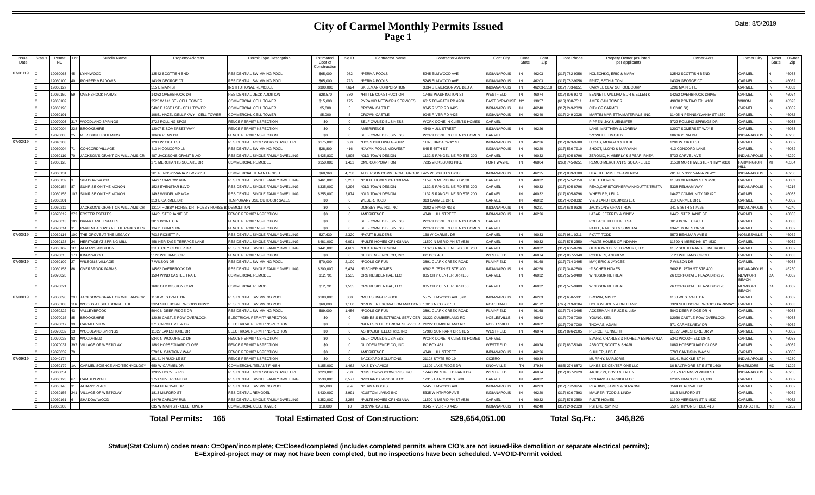| <i><b>Issue</b></i><br>Date | Status | Permit<br><b>NO</b> | Subdiv Name                          | <b>Property Address</b>                          | Permit Type Description             | Estimated<br>Cost of<br>Constructio | Sq Ft           | Contractor Name                                  | <b>Contractor Address</b>                | Cont.City           | Cont.<br>State | Cont.<br>Zip | Cont Phone     | Propety Owner (as listed<br>per applicant) | Owner Adrs                   | Owner City                     | Owner<br><b>State</b> | Owner<br>Zip |
|-----------------------------|--------|---------------------|--------------------------------------|--------------------------------------------------|-------------------------------------|-------------------------------------|-----------------|--------------------------------------------------|------------------------------------------|---------------------|----------------|--------------|----------------|--------------------------------------------|------------------------------|--------------------------------|-----------------------|--------------|
| 07/01/19                    |        | 19060063            | YNNWOOD                              | 12542 SCOTTISH BND                               | RESIDENTIAL SWIMMING POOL           | \$65,000                            | 982             | *PERMA POOLS                                     | 5245 ELMWOOD AVE                         | <b>VDIANAPOLIS</b>  |                | 46203        | 317) 782-9956  | <b>HOLECHKO, ERIC &amp; MARY</b>           | 2542 SCOTTISH BEND           | CARMEL                         |                       | 46033        |
|                             |        | 19060100            | <b>OHRER MEADOWS</b>                 | 14399 GEORGE CT                                  | RESIDENTIAL SWIMMING POOL           | \$65,000                            | 723             | *PERMA POOLS                                     | 5245 ELMWOOD AVE                         | NDIANAPOLIS         |                | 46203        | 317) 782-9956  | FRITZ, SETH & TONI                         | 4399 GEORGE CT               | CARMEL                         |                       | 46032        |
|                             |        | 19060127            |                                      | 515 E MAIN ST                                    | NSTITUTIONAL REMODEI                | \$300,000                           | 7,624           | SKILLMAN CORPORATION                             | 3834 S EMERSON AVE BLD A                 | NDIANAPOLIS         |                | 46203-351    | 317) 783-6151  | ARMEL CLAY SCHOOL CORP                     | <b>5201 MAIN ST B</b>        | CARMEL                         |                       | 46033        |
|                             |        | 19060150            | <b>OVERBROOK FARMS</b>               | 14262 OVERBROOK DE                               | RESIDENTIAL DECK ADDITION           | \$28,570                            | 380             | *HITTLE CONSTRUCTION                             | <b>7466 WASHINGTON ST</b>                | <b>NESTFIELD</b>    |                | 46074        | 317) 896-9073  | BENNETT. WILLIAM E JR & ELLEN K            | 4262 OVERBROOK DRIVE         | CARMEL                         |                       | 46074        |
|                             |        | 19060189            |                                      | 2525 W 141 ST - CELL TOWER                       | COMMERCIAL CELL TOWER               | \$15,000                            | 175             | PYRAMID NETWORK SERVICES                         | 6615 TOWPATH RD #200                     | <b>AST SYRACUSE</b> | <b>NY</b>      | 13057        | 316) 308-7511  | <b>MERICAN TOWER</b>                       | 19030 PONTIAC TRL #100       | <b>WIXOM</b>                   |                       | 48393        |
|                             |        | 19060190            |                                      | 5490 E 126TH ST - CELL TOWER                     | COMMERCIAL CELL TOWER               | \$5,000                             | -5.             | <b>CROWN CASTLE</b>                              | 9045 RIVER RD #425                       | <b>VDIANAPOLIS</b>  |                | 46240        | 317) 249-2028  | CITY OF CARMEL                             | CIVIC SQ                     | CARMEL                         |                       | 46032        |
|                             |        | 19060191            |                                      | 10851 HAZEL DELL PKWY - CELL TOWER               | COMMERCIAL CELL TOWER               | \$5,000                             | 5               | <b>CROWN CASTLE</b>                              | 045 RIVER RD #425                        | <b>VDIANAPOLIS</b>  |                | 46240        | 317) 249-2028  | MARTIN MARIETTA MATERIALS, INC.            | 1405 N PENNSYLVANIA ST #250  | CARMEL                         |                       | 16082        |
|                             |        | 19070003            | <b>NOODLAND SPRINGS</b>              | 3722 ROLLING SPGS                                | <b>ENCE PERMIT/INSPECTION</b>       | \$0                                 | $\Omega$        | SELF OWNED BUSINESS                              | WORK DONE IN CLIENTS HOMES               | ARMFI               |                |              |                | PIPPEN, JAY & JENNIFER                     | 3722 ROLLING SPRINGS DR      | CARMEL                         |                       | 46033        |
|                             |        | 19070004            | <b>BROOKSHIRE</b>                    | 12007 E SOMERSET WAY                             | <b>FENCE PERMIT/INSPECTION</b>      | \$0                                 | $\overline{0}$  | AMERIFENCE                                       | 4340 HULL STREET                         | NDIANAPOLIS         |                | 46226        |                | ANE, MATTHEW & LORENA                      | 12007 SOMERSET WAY E         | CARMEL                         |                       | 46033        |
|                             |        | 19070005            | <b>MERIDIAN HIGHLANDS</b>            | 10606 PENN DR                                    | <b>FENCE PERMIT/INSPECTION</b>      | \$0                                 | $\Omega$        | SELF OWNED BUSINESS                              | WORK DONE IN CLIENTS HOMES               | ARMEI               |                |              |                | POWELL. TIMOTHY                            | 0606 PFNN DR                 | INDIANAPOLIS                   |                       | 46280        |
| 07/02/19 0                  |        | 19040203            |                                      | 1201 W 116TH ST                                  | RESIDENTIAL ACCESSORY STRUCTURE     | \$175,000                           | 650             | *HOSS BUILDING GROUP                             | 1825 BROADWAY ST                         | NDIANAPOLIS         |                | 46236        | 317) 823-9788  | <b>UCAS, MORGAN &amp; KATIE</b>            | 201 W 116TH ST               | CARMEL                         |                       | 46032        |
|                             |        | 19060004            | CONCORD VILLAGE                      | 413 N CONCORD LN                                 | RESIDENTIAL SWIMMING POOL           | \$28,800                            | 416             | *KAYAK POOLS MIDWEST                             | 845 F 65TH ST                            | NDIANAPOLIS         |                | 46220        | (317) 536-7910 | SHOOT I LOYD & MARYANN                     | 413 CONCORD LANE             | CARMEL                         |                       | 46032        |
|                             |        | 19060110            | ACKSON'S GRANT ON WILLIAMS CR        | 487 JACKSONS GRANT BLVD                          | RESIDENTIAL SINGLE FAMILY DWELLING  | \$425,830                           | 4,895           | *OLD TOWN DESIGN                                 | 132 S RANGELINE RD STE 200               | <b>ARMEL</b>        |                | 46032        | 317) 605-8796  | ZERONIC, KIMBERLY & SPEAR, RHEA            | 5732 CARVELAVE               | <b>INDIANAPOLIS</b>            |                       | 46220        |
|                             |        | 19060128            |                                      | 271 MERCHANTS SQUARE DR                          | COMMERCIAL REMODEL                  | \$150,000                           | 1,432           | CME CORPORATION                                  | 7235 VICKSBURG PIKE                      | ORT WAYNE           |                | 46804        | 260) 745-0251  | REMCO MERCHANT'S SQUARE LLC                | 31500 MORTHWESTERN HWY #300  | FARMINGTON                     |                       | 48334        |
|                             |        | 19060131            |                                      | 201 PFNNSYI VANIA PKWY #201                      | COMMERCIAL TENANT FINISH            | \$68,960                            | 4.738           | ALDERSON COMMERCIAL GROUP II 425 W SOUTH ST #100 |                                          | NDIANAPOLIS         |                | 46225        | (317) 889-3800 | <b>HEALTH TRUST OF AMERICA</b>             | 201 PENNSYLVANIA PKWY        | <b>INDIANAPOLIS</b>            |                       | 46280        |
|                             |        | 9060139             | SHADOW WOOD                          | 14497 CARLOW RUN                                 | RESIDENTIAL SINGLE FAMILY DWELLING  | \$461,000                           | 5,237           | *PULTE HOMES OF INDIANA                          | 1590 N MERIDIAN ST #530                  | CARMEL              |                | 46032        | (317) 575-2350 | PULTE HOMES                                | 1590 MERIDIAN ST N #530      | CARMEL                         |                       | 46032        |
|                             |        | 19060154            | UNRISE ON THE MONON                  | 1528 EVENSTAR BLVD                               | RESIDENTIAL SINGLE FAMILY DWELLING  | \$335,000                           | 4.296           | *OLD TOWN DESIGN                                 | 1132 S RANGELINE RD STE 200              | CARMEL              |                | 46032        | (317) 605-8796 | READ.CHRISTOPHER/VANHOUTTE TRISTA          | 5338 PELHAM WAY              | <b>INDIANAPOLIS</b>            |                       | 46216        |
|                             |        | 19060155            | SUNRISE ON THE MONON                 | 1493 WINDPUMP WAY                                | RESIDENTIAL SINGLE FAMILY DWELLING  | \$255,000                           | 2.874           | *OLD TOWN DESIGN                                 | 132 S RANGELINE RD STE 200               | CARMEL              | IN             | 46032        | 317) 605-8796  | <b>NHEFIFR IFILA</b>                       | 4477 COMMUNITY DR #2D        | CARMEL                         |                       | 46033        |
|                             |        | 19060201            |                                      | 313 E CARMEL DR                                  | <b>TEMPORARY USE OUTDOOR SALES</b>  | \$0                                 | $\Omega$        | WEBER, TODD                                      | 313 CARMEL DR E                          | <b>ARMEL</b>        |                | 46032        | (317) 402-8332 | / & J LAND HOLDINGS LLC                    | 13 CARMEL DR E               | CARMEL                         |                       | 46032        |
|                             |        | 1906021             | <b>ACKSON'S GRANT ON WILLIAMS CR</b> | 12114 HOBBY HORSE DR - HOBBY HORSE B. DEMOLITION |                                     | \$0                                 | $\Omega$        | DORSEY PAVING, INC                               | 2102 S HARDING ST                        | NDIANAPOLIS         |                | 46221        | 317) 638-9326  | <b>JACKSON'S GRANT HOA</b>                 | 941 E 86TH ST #225           | INDIANAPOLIS                   |                       | 46240        |
|                             |        | 19070012            | <b>FOSTER ESTATES</b>                | 14451 STEPHANIE ST                               | <b>ENCE PERMIT/INSPECTION</b>       | \$0                                 | $\Omega$        | AMERIFENCE                                       | 1340 HULL STREET                         | <b>VDIANAPOLIS</b>  |                | 16226        |                | AZAR, JEFFREY & CINDY                      | 4451 STEPHANIE S'            | CARMEL                         |                       | 16033        |
|                             |        | 19070013            | <b>BRIAR LANE ESTATES</b>            | 3819 BOINE CIR                                   | <b>FENCE PERMIT/INSPECTION</b>      | \$0                                 | $\Omega$        | SELF OWNED BUSINESS                              | <b><i>NORK DONE IN CLIENTS HOMES</i></b> | CARMEL              |                |              |                | POLLACK, KEITH & ELSA                      | 3819 BOINE CIRCLE            | CARMEL                         |                       | 46033        |
|                             |        | 19070014            | PARK MEADOWS AT THE PARKS AT S       | 13471 DUNES DR                                   | <b>FENCE PERMIT/INSPECTION</b>      | \$0                                 | $\Omega$        | <b>SELF OWNED BUSINESS</b>                       | <b><i>NORK DONE IN CLIENTS HOMES</i></b> | <b>ARMEL</b>        |                |              |                | PATEL, RAKESH & SUMITRA                    | 13471 DUNES DRIVE            | CARMEL                         |                       | 46032        |
| 07/03/19                    |        | 19060114            | HE GROVE AT THE LEGACY               | 7032 PICKFTT PI                                  | RESIDENTIAL SINGLE FAMILY DWELLING  | \$27,630                            | 2.320           | *PYATT BUILDERS                                  | 68 W CARMEL DR                           | CARMEL              |                | 46033        | (317) 981-0211 | PYATT. TODD                                | 5572 REALMAR AVE             | <b>NOBLESVILLE</b>             |                       | 46062        |
|                             |        | 19060138            | <b>IERITAGE AT SPRING MILI</b>       | 458 HERITAGE TERRACE LANE                        | RESIDENTIAL SINGLE FAMILY DWELLING  | \$481,000                           | 6,091           | *PULTE HOMES OF INDIANA                          | 1590 N MERIDIAN ST #530                  | CARMEL              |                | 46032        | (317) 575-2350 | PULTE HOMES OF INDIANA                     | 1590 N MERIDIAN ST #530      | CARMEI                         |                       | 46032        |
|                             |        | Carnane1            | <b>UMAN'S ADDITION</b>               | 311 E CITY CENTER DR                             | RESIDENTIAL SINGLE FAMILY DWELLING  | \$441,000                           | 4.689           | *OLD TOWN DESIGN                                 | 132 S RANGELINE RD STE 200               | CARMEL              | IN             | 46032        | 317) 605-8796  | OLD TOWN DEVELOPMENT, LLC                  | 1132 SOLITH RANGE LINE ROAD  | CARMEL                         |                       | 46032        |
|                             |        | 19070015            | <b>KINGSWOOD</b>                     | 5120 WILLIAMS CIR                                | <b>FENCE PERMIT/INSPECTION</b>      | \$0                                 | $\overline{0}$  | GLIDDEN FENCE CO, INC                            | PO BOX 481                               | VESTFIELD           |                | 46074        | (317) 867-5140 | ROBERTS, ANDREW                            | 5120 WILLIAMS CIRCLE         | CARMEL                         |                       | 46033        |
| 07/05/19                    |        | 19060109            | <b>ILSON'S VILLAGE</b>               | WILSON DR                                        | <b>ESIDENTIAL SWIMMING POOL</b>     | \$70,000                            | 2.100           | *POOLS OF FUN                                    | 3891 CLARK CREEK ROAD                    | <b>LAINFIELD</b>    |                | 46168        | 317) 714-3495  | MAY, ERIC & JAYCEE                         | <b>WILSON DR</b>             | CARMEL                         |                       | 46033        |
|                             |        | 19060153            | <b>VERBROOK FARMS</b>                | 14562 OVERBROOK DR                               | RESIDENTIAL SINGLE FAMILY DWELLING  | \$200,000                           | 5,434           | <b>FISCHER HOMES</b>                             | 602 E. 75TH ST STE 400                   | NDIANAPOLIS         |                | 16250        | 317) 348-2500  | <b>FISCHER HOMES</b>                       | 602 E. 75TH ST STE 400       | <b>INDIANAPOLIS</b>            |                       | 16250        |
|                             |        | 19070020            |                                      | 1594 WIND CASTLE TRAIL                           | COMMERCIAL REMODEL                  | \$12,791                            | 1,535           | CRG RESIDENTIAL, LLC                             | 805 CITY CENTER DR #160                  | CARMEL              |                | 46032        | (317) 575-9400 | <b>VINDSOR RETREAT</b>                     | 26 CORPORATE PLAZA DR #270   | <b>NEWPORT</b><br><b>REACH</b> |                       | 46032        |
|                             |        | 19070021            |                                      | 1680 OLD MISSION COVE                            | COMMERCIAL REMODEL                  | \$12,791                            | 1,535           | CRG RESIDENTIAL, LLC                             | 805 CITY CENTER DR #160                  | CARMEL              |                | 46032        | 317) 575-9400  | <b><i>NINDSOR RETREAT</i></b>              | 26 CORPORATE PLAZA DR #270   | <b>NEWPORT</b><br><b>REACH</b> |                       | 46032        |
| 07/08/19                    |        | 19050096            | JACKSON'S GRANT ON WILLIAMS CR       | 1168 WESTVALE DR                                 | RESIDENTIAL SWIMMING POOL           | \$100,000                           | 800             | *MUD SLINGER POOL                                | 5575 ELMWOOD AVE., #D                    | <b>NDIANAPOLIS</b>  |                | 46203        | (317) 650-5131 | <b>BROWN, MISTY</b>                        | 1168 WESTVALE DR             | CARMEL                         |                       | 46032        |
|                             |        | 19050103            | VOODS AT SHELBORNE. THE              | 3324 SHELBORNE WOODS PKWY                        | RESIDENTIAL SWIMMING POOL           | \$60,000                            | 1.160           | *PREMIER EXCAVATION AND CONST10018 N CO R 675 E  |                                          | <b>ROACHDALE</b>    |                | 46172        | 65) 719-0384   | HOLTON, JOHN & BRITTANY                    | 3324 SHELBORNE WOODS PARKWAY | CARMEL                         |                       | 46033        |
|                             |        | 19050222            | <b>ALLEYBROOK</b>                    | 5040 N DEER RIDGE DE                             | RESIDENTIAL SWIMMING POOL           | \$89,000                            | 1,456           | *POOLS OF FUN                                    | <b>8891 CLARK CREEK ROAD</b>             | <b>LAINFIELD</b>    |                | 46168        | 317) 714-3495  | <b>ACKERMAN, BRUCE &amp; LISA</b>          | 5040 DEER RIDGE DR N         | CARMEL                         |                       | 46033        |
|                             |        | 19070016            | <b>ROOKSHIRE</b>                     | 12030 CASTLE ROW OVERLOOK                        | ELECTRICAL PERMIT/INSPECTION        | \$0                                 | $\Omega$        | <b>"GENESIS ELECTRICAL SERVICER</b>              | 21222 CUMBERLAND RD                      | <b>VOBLESVILLE</b>  |                | 46062        | 317) 708-7000  | YOUNG, KEN                                 | 2030 CASTLE ROW OVERLOOK     | CARMEL                         |                       | 46033        |
|                             |        | 19070017            | <b>CARMEL VIEW</b>                   | 371 CARMEL VIEW DR                               | LECTRICAL PERMIT/INSPECTION         | \$0                                 | $\Omega$        | *GENESIS ELECTRICAL SERVICER                     | 21222 CUMBERLAND RD                      | <b>VOBLESVILLE</b>  |                | 46062        | 317) 708-7000  | <b>THOMAS, ADAM</b>                        | 371 CARMELVIEW DR            | CARMEL                         |                       | 46032        |
|                             |        | 19070032            | VOODI AND SPRINGS                    | 11327 LAKESHORE DR                               | <b>ELECTRICAL PERMIT/INSPECTION</b> | \$0                                 | $\Omega$        | ASHPAUGH FLECTRIC. INC.                          | 17903 SUN PARK DR STE 5                  | VESTEIELD           |                | 46074        | 317) 896-2605  | PIFRCE, KENNETH                            | 1327   AKESHORE DR W         | <b>ARMEL</b>                   |                       | 46032        |
|                             |        | 19070035            | VOODFIELD                            | 5340 N WOODFIELD DR                              | <b>FENCE PERMIT/INSPECTION</b>      | \$0                                 | $\Omega$        | SELF OWNED BUSINESS                              | WORK DONE IN CLIENTS HOMES               | CARMEL              |                |              |                | VANS, CHARLES & NOHELIA ESPERANZA          | 340 WOODFIELD DR N           | CARMEL                         |                       | 46033        |
|                             |        | 19070037            | VILLAGE OF WESTCLAY                  | 1889 HORSEGUARD CLOSE                            | FENCE PERMIT/INSPECTION             | \$0                                 | $\Omega$        | <b>GLIDDEN FENCE CO. INC</b>                     | <b>PO BOX 481</b>                        | VESTFIELD           | IN             | 46074        | 317) 867-5140  | ABBOTT, SCOTT & SHARI                      | 889 HORSEGUARD CLOSE         | CARMEL                         |                       | 46032        |
|                             |        | 19070039            |                                      | 5703 N CANTIGNY WAY                              | <b>FENCE PERMIT/INSPECTION</b>      | \$0                                 | $\Omega$        | AMERIFENCE                                       | 4340 HULL STREET                         | NDIANAPOLIS         |                | 46226        |                | SHULER, ABBIE                              | 703 CANTIGNY WAY N           | CARMEL                         |                       | 46033        |
| 07/09/19                    |        | 19040174            |                                      | 10141 N RUCKLE ST                                | <b>ENCE PERMIT/INSPECTION</b>       | \$0                                 | $\Omega$        | <b>BACKYARD SOLUTIONS</b>                        | 21128 STATE RD 19                        | CICERO              |                | 46034        |                | <b>MURPHY, MARJORIE</b>                    | 0141 RUCKLE ST N             | <b>INDIANAPOLIS</b>            |                       | 46280        |
|                             |        | 19050179            | CARMEL SCIENCE AND TECHNOLOGY        | 650 W CARMEL DR                                  | COMMERCIAL TENANT FINISH            | \$155,000                           | 1.462           | <b>AXIS DYNAMICS</b>                             | 11109 LAKE RIDGE DR                      | KNOXVILLE           | TN             | 37934        | 865) 274-8872  | AKESIDE CENTER ONE LLC                     | 0 BALTIMORE ST E STE 1600    | <b>BALTIMORE</b>               | MD                    | 21202        |
|                             |        | 19060051            |                                      | 2095 HOOVER RD                                   | RESIDENTIAL ACCESSORY STRUCTURE     | \$220,000                           | 750             | CUSTOM WOODWORKS, INC                            | 7440 WESTFIELD PARK DR                   | VESTFIELD           | IN             | 46074        | 317) 867-2929  | <b>JACKSON, BOYD &amp; KALEN</b>           | 115 N PENNSYLVANIA ST        | <b>INDIANAPOLIS</b>            |                       | 46205        |
|                             |        | 19060123            | CAMDEN WALK                          | 2751 SILVER OAK DE                               | RESIDENTIAL SINGLE FAMILY DWELLING  | \$530,000                           | 6.577           | *RICHARD CARRIGER CO                             | 12315 HANCOCK ST #30                     | CARMEL              | IN             | 46032        |                | RICHARD J CARRIGER CO                      | 2315 HANCOCK ST. #30         | CARMEL                         |                       | 46032        |
|                             |        | 34103091            | <b>LBANY PLACE</b>                   | 3564 PERCIVAL DR                                 | RESIDENTIAL SWIMMING POOL           | \$65,000                            | 964             | *PERMA POOLS                                     | 5245 ELMWOOD AVE                         | NDIANAPOLIS         |                | 46203        | 317) 782-9956  | READING, JAMES & SUZANNE                   | 3564 PERCIVAL DR             | CARMEL                         |                       | 46032        |
|                             |        | 19060156            | <b>ILLAGE OF WESTCLAY</b>            | 1813 MILFORD ST                                  | RESIDENTIAL REMODEL                 | \$430,000                           | 3.991           | CUSTOM LIVING INC                                | 5335 WINTHROP AVE                        | <b>NDIANAPOLIS</b>  |                | 46220        | 317) 626-7393  | MAURER, TODD & LINDA                       | 1813 MILFORD ST              | CARMEL                         |                       | 46032        |
|                             |        | 19060161            | <b>HADOW WOOD</b>                    | 14479 CARLOW RUN                                 | RESIDENTIAL SINGLE FAMILY DWELLING  | \$352,000                           | 3.285           | *PULTE HOMES OF INDIANA                          | 11590 N MERIDIAN ST #530                 | CARMEL              |                | 46032        | (317) 575-2350 | PULTE HOMES                                | 1590 MERIDIAN ST N #530      | CARMEL                         |                       | 46032        |
|                             |        | 19060203            |                                      | 635 W MAIN ST - CELL TOWER                       | COMMERCIAL CELL TOWER               | \$18,000                            | 10 <sup>1</sup> | CROWN CASTLE                                     | 9045 RIVER RD #425                       | NDIANAPOLIS         |                | 46240        | 317) 249-2028  | PSI ENERGY INC.                            | 550 S TRYON ST DEC 41B       | <b>CHARLOTTE</b>               | NC                    | 28202        |
|                             |        |                     |                                      | 165<br>Total Permits:                            |                                     |                                     |                 | <b>Total Estimated Cost of Construction:</b>     | \$29,654,051.00                          |                     |                |              | Total Sq.Ft.:  | 346.826                                    |                              |                                |                       |              |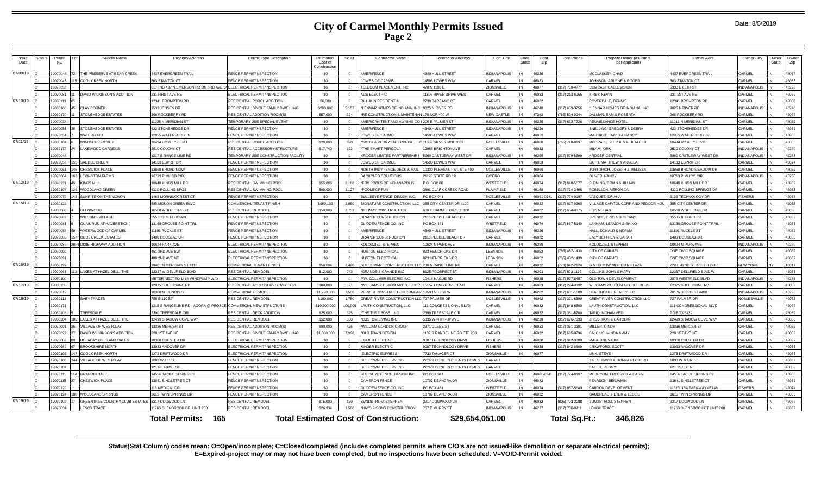| Issue<br>Date | Status | Permit<br><b>NO</b>  | Subdiv Name                    | <b>Property Address</b>                             | Permit Type Description                                | Estimated<br>Cost of<br>Construction | Sq Ft            | <b>Contractor Name</b>                                    | <b>Contractor Address</b>                  | Cont.City                   | Cont.<br>State | Cont.<br>Zip   | Cont.Phone                     | Propety Owner (as listeo<br>per applicant)             | Owner Adrs                           | Owner City                         | Owner<br>State | Owne<br>Zip    |
|---------------|--------|----------------------|--------------------------------|-----------------------------------------------------|--------------------------------------------------------|--------------------------------------|------------------|-----------------------------------------------------------|--------------------------------------------|-----------------------------|----------------|----------------|--------------------------------|--------------------------------------------------------|--------------------------------------|------------------------------------|----------------|----------------|
| 07/09/19.     |        | 19070046             | HE PRESERVE AT BEAR CREEK      | <b>437 EVERGREEN TRAIL</b>                          | <b>FNCF PERMIT/INSPECTION</b>                          | \$0                                  | $\Omega$         | <b>MERIFENCE</b>                                          | 340 HULL STREET                            | <b>INDIANAPOLIS</b>         |                | <b>ACCAI</b>   |                                | <b>ACCLASKEY CHAD</b>                                  | <b>4437 EVERGREEN TRAIL</b>          | CARMEL                             |                | 46074          |
|               |        | 9070048              | OOL CREEK NORTH                | 63 STANTON CT                                       | <b>ENCE PERMIT/INSPECTION</b>                          | \$0                                  |                  | OWES OF CARME                                             | 4598 LOWES WAY                             | CARMEL                      |                | 6033           |                                | OHNSON, ARLENE & ROGER                                 | 863 STANTON CT                       | CARMEL                             |                | 16033          |
|               |        | 19070050             |                                | EHIND 437 N EMERSON RD ON 3RD AVE \$                | <b>ELECTRICAL PERMIT/INSPECTION</b>                    | \$0                                  |                  | ELECOM PLACEMENT, INC                                     | 478 N 1100 E                               | <b>ZIONSVILLE</b>           |                | 46077          | 317) 769-4777                  | COMCAST CABLEVISION                                    | 5330 E 65TH ST                       | <b>INDIANAPOLIS</b>                |                | 46220          |
|               |        | 19070051             | DAVID WILKINSON'S ADDITION     | 231 FIRST AVE NE                                    | LECTRICAL PERMIT/INSPECTION                            | \$0                                  | $\Omega$         | <b>GS ELECTRIC</b>                                        | 1506 RIVER DRIVE WEST                      | CARMEL                      |                | 46033          | 317) 213-6065                  | <b>KIRBY, KEVIN</b>                                    | 231 1ST AVE NE                       | CARMEL                             |                | 46032          |
| 07/10/19      |        | 19060113             |                                | 2341 BROMPTON RD                                    | <b>ESIDENTIAL PORCH ADDITION</b>                       | \$6,000                              |                  | L HAHN RESIDENTIAL                                        | 739 BARBANO CT                             | CARMEL                      |                | 6032           |                                | COVERDALE, DENNIS                                      | 12341 BROMPTON RD                    | CARMEL                             |                | 46033          |
|               |        | 19060160             | CLAY CORNER                    | 533 JENSEN DR                                       | RESIDENTIAL SINGLE FAMILY DWELLING                     | \$200,000                            | 5.157            | LENNAR HOMES OF INDIANA, INC                              | 9025 N RIVER RD                            | <b>INDIANAPOLIS</b>         |                | 6240           | 317) 659-3256                  | LENNAR HOMES OF INDIANA, INC.                          | 9025 N RIVER RD                      | <b>INDIANAPOLIS</b>                |                | 46240          |
|               |        | 19060170             | <b>STONEHEDGE ESTATES</b>      | 206 ROCKBERRY RD                                    | RESIDENTIAL ADDITION-ROOM(S)                           | \$57,000                             | 324              | <b>RE CONSTRUCTION &amp; MAINTENAN</b>                    | 170 NCR 400 W                              | <b>NEW CASTLE</b>           |                | 17362          | 765) 524-0044                  | <b>DALMAN, SAM &amp; ROBERTA</b>                       | 206 ROCKBERY RD                      | CARMEL                             |                | 46032          |
|               |        | 19070038             |                                | 1925 N MERIDIAN ST                                  | EMPORARY USE SPECIAL EVENT                             | \$0                                  |                  | MERICAN TENT AND AWNING CO I 205 E PALMER ST              |                                            | <b>INDIANAPOLIS</b>         |                | 46225          | 317) 632-7226                  | RENAISSANCE HOTEL                                      | 11911 N MERIDIAN ST                  | CARMEL                             |                | 46032          |
|               |        | 19070053             | STONEHEDGE ESTATES             | 423 STONEHEDGE DR                                   | <b>ENCE PERMIT/INSPECTION</b>                          | \$0                                  | $\Omega$         | MERIFENCE                                                 | 4340 HULL STREET                           | <b>INDIANAPOLIS</b>         |                | 46226          |                                | SNELLING, GREGORY & DEBRA                              | 423 STONEHEDGE DF                    | CARMEL                             |                | 46032          |
|               |        | 19070054             | VATERFORD                      | 2055 WATERFORD LN                                   | FENCE PERMIT/INSPECTION                                | \$0                                  |                  | OWES OF CARMEL                                            | 4598 LOWES WAY                             | CARMEL                      |                | <b>220al</b>   |                                | <b>MARTIKKE, DAVID &amp; NANCY</b>                     | 12055 WATERFORD LI                   | CARMEL                             |                | 46033          |
| 07/11/19      |        | 19060104             | VINDSOR GROVE II               | 0494 ROXLEY BEND                                    | RESIDENTIAL PORCH ADDITION                             | \$20,000                             | 320              | SMITH & PERRY ENTERPRISE, L                               | 11569 SILVER MOON CT                       | <b>NOBLESVILLE</b>          |                | 46060          | 765) 748-9197                  | MODRALL, STEPHEN & HEATHER                             | 10494 ROXLEY BLVD                    | CARMEL                             |                | 46033          |
|               |        | 19060173             | LAKEWOOD GARDENS               | 2510 COLONY CT                                      | RESIDENTIAL ACCESSORY STRUCTURE                        | \$17,740                             | 192              | THE SMART PERGOLA                                         | 2958 BRIGHTON AVE                          | CARMEL                      |                | 46032          |                                | <b>MILAM KIRK</b>                                      | 2510 COLONY CT                       | <b>INDIANAPOLIS</b>                |                | 46280          |
|               |        | 19070044             |                                | 217 S RANGE LINE RD                                 | <b>FEMPORARY USE CONSTRUCTION FACILITY</b>             | \$0                                  | $\Omega$         | ROGER LIMITED PARTNERSHIP                                 | 5960 CASTLEWAY WEST DR                     | <b>INDIANAPOLIS</b>         |                | 6250           | 317) 579-8699                  | <b>KROGER-CENTRAL</b>                                  | 5960 CASTLEWAY WEST DR               | <b>INDIANAPOLIS</b>                |                | 46258          |
|               |        | 19070058             | SADDLE CREEK                   | 4133 ESPRIT DF                                      | <b>ENCE PERMIT/INSPECTION</b>                          | \$0                                  |                  | OWES OF CARMEL                                            | <b>4598 LOWES WA</b>                       | CARMEL                      |                | 16033          |                                | ICHT, MATTHEW & ANGELA                                 | 14133 ESPRIT DR                      | CARMEL                             |                | 46074          |
|               |        | 19070061             | 45 CHESWICK PLACE              | 3868 BROAD MDW                                      | FENCE PERMIT/INSPECTION                                | \$0                                  | $\Omega$         | NORTH INDY FENCE DECK & RAIL                              | 0330 PLEASANT ST, STE 400                  | NOBLESVILLE                 |                | 46060          |                                | <b>TORTORICH, JOSEPH &amp; MELISSA</b>                 | 13868 BROAD MEADOW DR                | CARMEL                             |                | 46032          |
|               |        | 19070064             | <b>LEXINGTON FARMS</b>         | 0713 PIMLICO CIR                                    | FENCE PERMIT/INSPECTION                                | \$0                                  |                  | <b>ACKYARD SOLUTIONS</b>                                  | 1128 STATE RD 19                           | <b>CICERO</b>               |                | 46034          |                                | OLIVER, NANCY                                          | 10713 PIMLICO CIR                    | <b>INDIANAPOLIS</b>                |                | 46280          |
| 07/12/19      |        | 19040231             | KINGS MILL                     | 0648 KINGS MILL DR                                  | RESIDENTIAL SWIMMING POOL                              | \$55,000                             | 2.100            | FOX POOLS OF INDIANAPOLIS                                 | P.O. BOX 60                                | WESTFIELD                   |                | 16074          | 317) 848-5077                  | FLEMING, BRIAN & JILLIAN                               | 10648 KINGS MILL DR                  | CARMEL                             |                | 46032          |
|               |        | 19060197             | <b>NOODLAND GREEN</b>          | 1310 ROLLING SPGS                                   | RESIDENTIAL SWIMMING POO                               | \$60,000                             | 1.127            | POOLS OF FUN                                              | 891 CLARK CREEK ROAD                       | PLAINFIELD                  |                | 83168          | (317) 714-3495                 | ROBINSON, VERONICA                                     | 4310 ROLLING SPRINGS DR              | CARMEL                             |                | 46033          |
|               |        | 19070079             | SUNRISE ON THE MONON           | 463 MORNINGCREST CT                                 | FENCE PERMIT/INSPECTION                                | \$0                                  |                  | ULLSEYE FENCE DESIGN INC                                  | PO BOX 941                                 | <b>NOBLESVILLE</b>          |                | 46061-0941     | 317) 774-0197                  | AZQUEZ, DR ANA                                         | 9126 TECHNOLOGY DR                   | <b>FISHERS</b>                     |                | 46038          |
| 07/15/19      |        | 19030128             |                                | 85 MONON GREEN BLVD                                 | COMMERCIAL TENANT FINISH                               | \$660,133                            | 3,050            | <b>IGNATURE CONSTRUCTION, LLC</b>                         | 885 CITY CENTER DR #100                    | CARMEL                      |                | 16032          | 317) 817-0360                  | ILLAGE CAPITOL CORP AND PEDCOR HOU                     | 355 CITY CENTER DR                   | CARMEL                             |                | 46032          |
|               |        | 19060060             | <b>GLENWOOD</b>                | 0508 WHITE OAK DR                                   | RESIDENTIAL REMODEL                                    | \$50,000                             | 2.752            | <b>BC INDY CONSTRUCTION</b>                               | 600 E CARMEL DR STE 160                    | CARMEL                      |                | 6032           | 317) 664-0375                  | <b>FRY MEGAN</b>                                       | 10508 WHITE OAK DR                   | CARMEL                             |                | 46033          |
|               |        | 19070082             | <b>VILSON'S VILLAGE</b>        | 355 S GUILFORD AVE                                  | <b>FNCF PERMIT/INSPECTIO</b>                           | - \$0                                |                  | RAPER CONSTRUCTION                                        | 2113 PEBBLE BEACH DE                       | CARMEL                      |                | 16032          |                                | SPENCE, ERIC & BRITTANY                                | 355 GUILFORD RD                      | CARMEL                             |                | 46032          |
|               |        | 19070083             | QUAIL RUN AT HAVERSTICK        | 3160 GROUSE POINT TRI                               | FENCE PERMIT/INSPECTION                                | \$0                                  | $\Omega$         | <b>ILIDDEN FENCE CO, INC</b>                              | PO BOX 481                                 | WESTFIELD                   |                | 46074          | 317) 867-5140                  | <b>LANHAM, LEAMON &amp; SHINO</b>                      | 13160 GROUSE POINT TRAIL             | CARMEL                             |                | 46033          |
|               |        | 19070084             | VATERWOOD OF CARMEL            | 1191 RUCKLE ST                                      | FENCE PERMIT/INSPECTION                                | \$0                                  | $\Omega$         | <b>MERIFENCE</b>                                          | <b>4340 HULL STREET</b>                    | <b>INDIANAPOLIS</b>         |                | 16226          |                                | HALL, DONALD & NORMA                                   | 11191 RUCKLE ST                      | CARMEL                             |                | 46032          |
|               |        | 19070085             | COOL CREEK ESTATES             | 408 DOUGLAS DF                                      | <b>ENCE PERMIT/INSPECTION</b>                          | \$0                                  | $\Omega$         | RAPER CONSTRUCTION                                        | 113 PEBBLE BEACH DR                        | CARMEL                      |                | 16032          |                                | EALY, JEFFREY & SARAH                                  | 1408 DOUGLAS DR                      | CARMEL                             |                | 46033          |
|               |        | 19070086             | DIXIE HIGHWAY ADDITION         | 0624 PARK AVE                                       | <b>ELECTRICAL PERMIT/INSPECTION</b>                    | \$0                                  |                  | OLODZIEJ, STEPHEN                                         | 0624 N PARK AVE                            | <b>INDIANAPOLIS</b>         |                | <b>08SAI</b>   |                                | KOLODZIE LI STEPHEN                                    | 10624 N PARK AVE                     | <b>INDIANAPOLIS</b>                |                | 46280          |
|               |        | 19070090             |                                | 451 3RD AVE SW                                      | ELECTRICAL PERMIT/INSPECTION                           | \$0                                  | $\Omega$         | <b>IUSTON ELECTRICAL</b>                                  | <b>323 HENDRICKS DF</b>                    | LEBANON                     |                | 46052          | 765) 482-1430                  | CITY OF CARMEL                                         | ONE CIVIC SQUARE                     | CARMEL                             |                | 46032          |
|               |        | 19070091             |                                | 488 2ND AVE NE                                      | LECTRICAL PERMIT/INSPECTION                            | \$0                                  | $\Omega$         | <b>IUSTON ELECTRICAL</b>                                  | 323 HENDRICKS DR                           | LEBANON                     |                | 46052          | 765) 482-1430                  | CITY OF CARMEL                                         | ONE CIVIC SQUARE                     | CARMEL                             |                | 46032          |
| 07/16/19      |        | 19060199             |                                | 0401 N MERIDIAN ST #110                             | COMMERCIAL TENANT FINISH                               | \$58,894                             | 2,420            | JUILDSMART CONSTRUCTION, LLC 230 N RANGELINE RD           |                                            | CARMEL                      |                | 6032           | 773) 842-2124                  | 3 & I IX MJW MERIDIAN PLAZA                            | 220 E 42ND ST 27TH FLOOR             | <b>NFW YORK</b>                    |                | 10017          |
|               |        | 19070068             | LAKES AT HAZEL DELL. THE       | 12337 W DELLEIELD BLVD                              | <b>RESIDENTIAL REMODE</b>                              | \$12,000                             | 743              | <b>GRANDE &amp; GRANDE INC</b>                            | 6125 PROSPECT ST                           | <b>INDIANAPOLIS</b>         |                | 6203           | 317) 523-1117                  | COLLINS, JOHN & MARY                                   | 12337 DELLFIELD BLVD W               | CARMEL                             |                | 46033          |
|               |        | 19070100             |                                | <b>JETER NEXT TO 1464 WINDPUMP WAY</b>              | ELECTRICAL PERMIT/INSPECTION                           | SO.                                  | $\Omega$         | W. GOLLMER ELECRIC INC.                                   | 0418 HAGUE RD                              | <b>FISHERS</b>              |                | 46038          | 317) 577-8487                  | <b>OLD TOWN DEVELOPMENT</b>                            | 9876 WESTFIELD BLVD                  | <b>INDIANAPOLIS</b>                |                | 46283          |
| 07/17/19      |        | 19060136             |                                | 2075 SHELBORNE RD                                   | RESIDENTIAL ACCESSORY STRUCTURE                        | \$80,000                             | 621              | WILLIAMS CUSTOM ART BUILDERS 15157 LONG COVE BLVD         |                                            | CARMEL                      |                | 46033          | 317) 294-0332                  | VILLIAMS CUSTOM ART BUILDERS                           | 12075 SHELBORNE RD                   | CARMEL                             |                | 46032          |
|               |        | 19070019             |                                | 0300 N ILLINOIS ST                                  | COMMERCIAL REMODE                                      | \$1,720,000                          | 3.500            | EPPER CONSTRUCTION COMPANY                                | 1850 15TH ST W                             | <b>INDIANAPOLIS</b>         |                | 6202           | 317) 681-1000                  | <b>IEALTHCARE REALTY LLC</b>                           | 201 W 103RD ST #400<br>727 PALMER DR | <b>INDIANAPOLIS</b><br>NOBLESVILLE |                | 46290          |
| 07/18/19      |        | 19030113<br>19030171 | <b>BABY TRACTS</b>             | 755 E 110 ST<br>215 S RANGELINE RD - AGORA @ PROSCE | <b>RESIDENTIAL REMODEL</b><br>COMMERCIAL NEW STRUCTURE | \$100,000<br>\$10,500,000            | 1.780<br>100.000 | <b>SREAT RIVER CONSTRUCTION</b><br>AUTH CONSTRUCTION, LLC | I C 727 PAI MFR DR<br>1 CONGRESSIONAL BLVD | <b>NOBLESVILL</b><br>CARMEL |                | 46062<br>46032 | 317) 371-6399<br>317) 848-6500 | GREAT RIVER CONSTRUCTION LLC<br>AUTH CONSTRUCTION, LLC | 111 CONGRESSIONAL BLVD               | CARMEL                             |                | 46062          |
|               |        | 19060108             | TREESDALE                      | 390 TREESDALE CIR                                   | <b>ESIDENTIAL DECK ADDITION</b>                        | \$25,000                             |                  | THE TURF BOSS, LLC                                        | 390 TREESDALE CIF                          | CARMEL                      |                | 46032          | 317) 361-8200                  | TARIO, MOHAMMED                                        | PO BOX 3422                          | CARMEL                             |                | 46032<br>46082 |
|               |        | 19060204             | AKES AT HAZEL DELL. THE        | 2499 SHADOW COVE WAY                                | RESIDENTIAL REMODEL                                    | \$52,000                             | 325<br>350       | CUSTOM LIVING INC                                         | 335 WINTHROP AVE                           | <b>INDIANAPOLIS</b>         |                | 6220           | 317) 626-7393                  | HISS, RON & CAROLYN                                    | 12499 SHADOW COVE WAY                | CARMEI                             |                | 46033          |
|               |        | 19070001             | <b>ILLAGE OF WESTCLAY</b>      | 3336 MERCER ST                                      | RESIDENTIAI ADDITION-ROOM(S                            | \$90,000                             |                  | WILLIAM GORDON GROUP                                      | 2371 GLEBE ST                              | CARMEL                      |                | 46032          | 317) 361-3191                  | MILLER, CINDY                                          | 13336 MERCER ST                      | CARMEL                             |                | 46032          |
|               |        | 19070022             | DAVID WILKINSON'S ADDITION     | 220 1ST AVE NE                                      | <b>ESIDENTIAL SINGLE FAMILY DWELLING</b>               | \$1,000,000                          | 425<br>7.900     | OLD TOWN DESIGN                                           | 132 S RANGELINE RD STE 200                 | CARMEL                      |                | 6032           | 317) 605-8796                  | <b>BALCIUS, MINDA &amp; AMY</b>                        | 220 1ST AVE NE                       | CARMEL                             |                | 46032          |
|               |        | 19070088             | <b>HOLADAY HILLS AND DALES</b> | 0300 CHESTER DR                                     | <b>ELECTRICAL PERMIT/INSPECTION</b>                    | \$0                                  | $\Omega$         | <b>INDER ELECTRIC</b>                                     | 9087 TECHNOLOGY DRIVE                      | <b>FISHERS</b>              |                | 6038           | 317) 842-0809                  | <b>MARCONI, VICKKI</b>                                 | 10300 CHESTER DR                     | CARMEL                             |                | 46032          |
|               |        | 19070089             | <b>BROOKSHIRE NORTH</b>        | 3033 ANDOVER DF                                     | <b>ELECTRICAL PERMIT/INSPECTION</b>                    | - \$0                                |                  | <b>INDER ELECTRIC</b>                                     | 9087 TECHNOLOGY DRIVE                      | <b>FISHERS</b>              |                | 6038           | 317) 842-0809                  | CRAWFORD, SCOT                                         | 13033 ANDOVER DR                     | CARMEI                             |                | 46033          |
|               |        | 19070105             | COOL CREEK NORTH               | 273 DRIFTWOOD DR                                    | <b>ELECTRICAL PERMIT/INSPECTION</b>                    | \$0                                  | $\Omega$         | ELECTRIC EXPRESS                                          | 7733 TANAGER CT                            | <b>ZIONSVILLE</b>           |                | 46077          |                                | LINK, STEVE                                            | 1273 DRIFTWOOD DR                    | CARMEL                             |                | 46033          |
|               |        | 19070106             | VILLAGE OF WESTCLAY<br>344     | 893 W 131 ST                                        | <b>ENCE PERMIT/INSPECTION</b>                          | \$0                                  | $^{\circ}$       | SELF OWNED BUSINESS                                       | VORK DONE IN CLIENTS HOMES                 | CARMEL                      |                |                |                                | ZIPES, DAVID & DONNA RECKERD                           | 1893 W MAIN ST                       | CARMEL                             |                | 46032          |
|               |        | 19070107             |                                | 21 NE FIRST ST                                      | <b>ENCE PERMIT/INSPECTION</b>                          | \$0                                  | $\Omega$         | <b>FLE OWNED BUSINESS</b>                                 | <b><i>VORK DONE IN CLIENTS HOMES</i></b>   | CARMEL                      |                |                |                                | BAKER, PEGGY                                           | 121 1ST ST NE                        | CARMEL                             |                | 46032          |
|               |        | 19070111             | <b>GRANDIN HALL</b>            | 4556 JACKIE SPRING CT                               | <b>ENCE PERMIT/INSPECTION</b>                          | \$0                                  |                  | ULLSEYE FENCE DESIGN INC                                  | PO BOX 941                                 | NOBLESVILLE                 |                | 6061-0941      | 317) 774-0197                  | <b>MCBROOM, FREDRICK &amp; CARIN</b>                   | 14556 JACKIE SPRING CT               | CARMEL                             |                | 46033          |
|               |        | 19070115             | CHESWICK PLACE                 | 3641 SINGLETREE CT                                  | <b>ENCE PERMIT/INSPECTION</b>                          | \$0                                  | $\Omega$         | AMERON FENCI                                              | 0702 DEANDRA DR                            | ZIONSVILLE                  |                | 36032          |                                | <b>FARSON RENJAMIN</b>                                 | 13641 SINGLETREE CT                  | CARMEL                             |                | 46032          |
|               |        | 19070120             |                                | 18 MEDICAL DR                                       | <b>ENCE PERMIT/INSPECTION</b>                          | \$0                                  | $\Omega$         | <b>ILIDDEN FENCE CO, INC</b>                              | PO BOX 481                                 | WESTFIELD                   |                | 46074          | 317) 867-5140                  | CARDON DEVELOPMENT                                     | 11313 USA PARKWAY #E148              | <b>FISHERS</b>                     |                | 46074          |
|               |        | 19070124             | WOODLAND SPRINGS               | 615 TWIN SPRINGS DR                                 | <b>ENCE PERMIT/INSPECTION</b>                          | \$0                                  |                  | AMERON FENCE                                              | 0702 DEANDRA DR                            | ZIONSVILLE                  |                | 6032           |                                | <b>SAUDREAU, PETER &amp; LESLIE</b>                    | 3615 TWIN SPRINGS DR                 | CARMEL                             |                | 46033          |
| 07/19/19      |        | 19060192             | GREENTREE COUNTRY CLUB ESTATES | 3217 DOGWOOD LN                                     | RESIDENTIAL REMODEI                                    | \$15,000                             | 150              | UNDSTROM, STEPHEN                                         | 3217 DOGWOOD LN                            | CARMEL                      |                | 16032          | 805) 703-3088                  | SUNDSTROM, STEPHEN                                     | 3217 DOGWOOD LN                      | CARMEL                             |                | 46032          |
|               |        | 19070034             | <b>ENOX TRACE</b>              | 1760 GLENBROOK DR. UNIT 208                         | RESIDENTIAL REMODEL                                    | \$26,334                             | 1500             | HAYS & SONS CONSTRUCTION                                  | 757 E MURRY ST                             | <b>INDIANAPOLIS</b>         |                | 46227          | 317) 788-0911                  | <b>FNOX TRACE</b>                                      | 11760 GLENBROOK CT UNIT 208          | CARMEL                             |                | 46032          |
|               |        |                      |                                | 165<br>Total Permits:                               |                                                        |                                      |                  | <b>Total Estimated Cost of Construction:</b>              | \$29,654,051.00                            |                             |                |                | <b>Total Sq.Ft.:</b>           | 346.826                                                |                                      |                                    |                |                |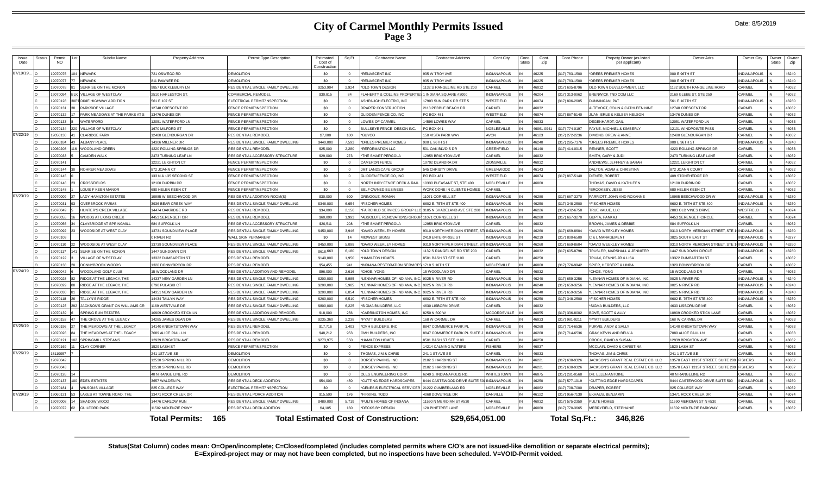| Issue<br>Date | Status | Permit<br><b>NO</b>  | Subdiv Name                                         | <b>Property Address</b>                     | Permit Type Description                                          | Estimated<br>Cost of<br>Constructio | Sq Ft          | <b>Contractor Name</b><br><b>Contractor Address</b>                                | Cont.City                    | Cont.<br>State | Cont.<br>Zip   | Cont.Phone           | Propety Owner (as listed<br>per applicant)                   | Owner Adrs                              | Owner City                          | Owner<br>State | Owne<br>Zip    |
|---------------|--------|----------------------|-----------------------------------------------------|---------------------------------------------|------------------------------------------------------------------|-------------------------------------|----------------|------------------------------------------------------------------------------------|------------------------------|----------------|----------------|----------------------|--------------------------------------------------------------|-----------------------------------------|-------------------------------------|----------------|----------------|
| 07/19/19.     |        | 19070076             | NEWARK                                              | 721 OSWEGO RD                               | <b>DEMOLITION</b>                                                | \$0                                 | $\Omega$       | *RENASCENT INC<br>935 W TROY AVE                                                   | NDIANAPOLIS                  |                | 46225          | 317) 783-1500        | *DREES PREMIER HOMES                                         | 900 E 96TH ST                           | <b>INDIANAPOLIS</b>                 |                | 46240          |
|               |        | 9070077              | <b>IFWARK</b>                                       | 11 PAWNEE RD                                | <b>DEMOLITION</b>                                                | \$0                                 | $\Omega$       | <b>'RENASCENT INC</b><br>935 W TROY AVE                                            | <b>VDIANAPOLIS</b>           |                | 16225          | 317) 783-1500        | DREES PREMIER HOMES                                          | 00 F 96TH ST                            | <b>NDIANAPOLIS</b>                  |                | 16240          |
|               |        | 19070078             | UNRISE ON THE MONON                                 | 9857 BUCKLEBURY LN                          | RESIDENTIAL SINGLE FAMILY DWELLING                               | \$253.904                           | 2.924          | *OLD TOWN DESIGN<br>1132 S RANGELINE RD STE 200                                    | ARMEI                        |                | 46032          | 317) 605-8796        | OLD TOWN DEVELOPMENT, LLC                                    | 1132 SOUTH RANGE LINE ROAD              | CARMEL                              |                | 46032          |
|               |        | 19070094             | <b>ILLAGE OF WESTCLAY</b>                           | 2510 HARLESTON ST                           | COMMERCIAL REMODE                                                | \$30,815                            | 84             | LAHERTY & COLLINS PROPERTIE<br>I INDIANA SQUARE #3000                              | VDIANAPOLIS                  |                | 46204          | 317) 313-0962        | <b>BRENWICK TND COM LLC</b>                                  | 169 GLEBE ST, STE 250                   | CARMEL                              |                | 46032          |
|               |        | 19070128             | <b>PT DIXIE HIGHWAY ADDITION</b>                    | 561 E 107 ST                                | ELECTRICAL PERMIT/INSPECTION                                     | \$0                                 | $\Omega$       | ASHPAUGH ELECTRIC, INC<br>7903 SUN PARK DR STE 5                                   | VESTFIELD                    |                | 46074          | 17) 896-2605         | <b>INNINGAN PAT</b>                                          | 61 E 107TH ST                           | <b>INDIANAPOLIS</b>                 |                | 46280          |
|               |        | 19070131             | ARKSIDE VILLAGE                                     | 12748 CRESCENT DR                           | <b>FENCE PERMIT/INSPECTION</b>                                   | \$0                                 | $\Omega$       | DRAPER CONSTRUCTION<br>2113 PEBBLE BEACH DR                                        | CARMEL                       |                | 16032          |                      | LITEVOGT, COLIN & CATHLEEN NINE                              | 2748 CRESCENT DF                        | CARMEL                              |                | 46032          |
|               |        | 19070132             | ARK MEADOWS AT THE PARKS AT S                       | 13476 DUNES DF                              | FENCE PERMIT/INSPECTION                                          | \$0                                 | $\Omega$       | GLIDDEN FENCE CO. INC<br><b>PO BOX 481</b>                                         | VESTFIELD                    | IN             | 46074          | (317) 867-5140       | <b>JUAN, ERLE &amp; KELSEY NELSON</b>                        | 3476 DUNES DR                           | CARMEL                              |                | 46032          |
|               |        | 19070133             | VATERFORD                                           | 12051 WATERFORD LN                          | <b>FENCE PERMIT/INSPECTION</b>                                   | \$0                                 | $\Omega$       | LOWES OF CARMEL<br>14598 LOWES WAY                                                 | CARMEL                       |                | 46033          |                      | DEGENHARDT, GAIL                                             | 2051 WATERFORD LN                       | CARMEL                              |                | 46033          |
|               |        | 19070134             | <b>ILLAGE OF WESTCLAY</b>                           | 1670 MILFORD ST                             | <b>FENCE PERMIT/INSPECTION</b>                                   | \$0                                 | $\Omega$       | <b>BULLSEYE FENCE DESIGN INC.</b><br>PO BOX 941                                    | <b>VOBLESVILLE</b>           |                | 46061-094      | 317) 774-0197        | PAYNE, MICHAEL & KIMBERLY                                    | 2101 WINDPOINTE PASS                    | CARMEL                              |                | 46033          |
| 07/22/19      |        | 1905013              | LARIDGE FARM                                        | 12480 GLENDURGAN DF                         | RESIDENTIAL REMODEI                                              | \$7,000                             | 100            | GUYCC<br>150 VISTA PARK WAY                                                        | <b>VON</b>                   |                | 16123          | 317) 272-2236        | <b>DIMOND, DREW &amp; ANNE</b>                               | 2480 GLENDURGAN DF                      | CARMEL                              |                | 46032          |
|               |        | 19060184             | LBANY PLACE                                         | 14306 MILLNER DR                            | RESIDENTIAL SINGLE FAMILY DWELLING                               | \$440,000                           | 7.593          | *DREES PREMIER HOMES<br>900 E 96TH ST                                              | NDIANAPOLIS                  |                | 46240          | 317) 295-7176        | *DREES PREMIER HOMES                                         | 900 E 96TH ST                           | <b>INDIANAPOLIS</b>                 |                | 46240          |
|               |        | 19060208             | VOODLAND GREEN                                      | <b>1220 ROLLING SPRINGS DR</b>              | RESIDENTIAL REMODEL                                              | \$25,000                            | 2,280          | *REFORMATION LLC<br>501 OAK BLVD S DR                                              | <b>SREENFIELD</b>            |                | 46140          | 317) 414-0015        | RENNER, SCOTT                                                | 4220 ROLLING SPRINGS DR                 | CARMEL                              |                | 46033          |
|               |        | 19070033             | CAMDEN WALK                                         | 2473 TURNING LEAF LN                        | RESIDENTIAL ACCESSORY STRUCTURE                                  | \$29,000                            | 273            | THE SMART PERGOLA<br><b>2958 BRIGHTON AVE</b>                                      | CARMEL                       |                | 46032          |                      | <b>SMITH, GARY &amp; JUDI</b>                                | 2473 TURNING LEAF LANE                  | CARMEL                              |                | 46032          |
|               |        | 19070141             |                                                     | 12221 LEIGHTON CT                           | <b>FENCE PERMIT/INSPECTION</b>                                   | \$0                                 |                | CAMERON FENCE<br>0702 DEANDRA D                                                    | <b>IONSVILLE</b>             |                | 46032          |                      | <b>INDREWS, JEFFREY &amp; SARAH</b>                          | 2221 LEIGHTON CT                        | CARMEL                              |                | 46032          |
|               |        | 19070144             | <b>ROHRER MEADOWS</b>                               | 872 JOANN CT                                | <b>FENCE PERMIT/INSPECTION</b>                                   | \$0                                 | $\Omega$       | JMT LANDSCAPE GROUP<br>545 CHRISTY DRIVE                                           | <b>GREENWOOD</b>             |                | 46143          |                      | <b>DALTON, ADAM &amp; CHRISTINA</b>                          | 872 JOANN COURT                         | CARMEL                              |                | 46032          |
|               |        | 19070145             |                                                     | 133 N & 135 SECOND ST                       | <b>FENCE PERMIT/INSPECTION</b>                                   | \$0                                 | $\Omega$       | GLIDDEN FENCE CO. INC<br>PO BOX 481                                                | VESTFIELD                    |                | 46074          | 317) 867-5140        | DIENER ROBERT                                                | <b>409 STONEHEDGE DR</b>                | CARMEL                              |                | 46032          |
|               |        | 19070146             | CROSSFIELDS                                         | 12100 DURBIN DR                             | <b>FENCE PERMIT/INSPECTION</b>                                   | \$0                                 | $\Omega$       | 0330 PLEASANT ST, STE 400<br>NORTH INDY FENCE DECK & RAI                           | <b>IOBLESVILLE</b>           |                | 46060          |                      | HOMAS, DAVID & KATHLEEN                                      | 2100 DURBIN DR                          | CARMEL                              |                | 46032          |
|               |        | 19070148             | <b>OUIS F KEEN MANOR</b>                            | 680 HELEN KEEN CT                           | FENCE PERMIT/INSPECTION                                          | \$0                                 |                | SELF OWNED BUSINESS<br><b><i>NORK DONE IN CLIENTS HOMES</i></b>                    | <b>ARMEL</b>                 |                |                |                      | <b>BROOKSBY JESS</b>                                         | <b>80 HELEN KEEN CT</b>                 | CARMEL                              |                | 46032          |
| 07/23/19      |        | 19070009             | <b>ADY HAMILTON ESTATES</b>                         | 10985 W BEECHWOOD DR                        | RESIDENTIAL ADDITION-ROOM(S                                      | \$30,000                            | 600            | <b>GRINGOUZ, ROMAN</b><br>1071 CORNELL ST                                          | <b>VDIANAPOLIS</b>           |                | 46280          | 317) 667-3270        | PARRIOTT, JOHN AND ROXANNE                                   | 0985 BEECHWOOD DR W                     | <b>INDIANAPOLIS</b>                 |                | 46280          |
|               |        | 19070031             | VERRROOK FARMS                                      | 3936 BEAR CREEK WAY                         | RESIDENTIAL SINGLE FAMILY DWELLING                               | \$346,000                           | 6.654          | <b><i>'FISCHER HOMES</i></b><br>6602 E. 75TH ST STE 400                            | NDIANAPOLIS                  |                | 46250          | 317) 348-2500        | <b>FISCHER HOMES</b>                                         | S602 F 75TH ST STF 400                  | INDIANAPOLIS                        |                | 46250          |
|               |        | 19070049             | UNTER'S CREEK VILLAGE                               | 14474 OAKRIDGE RD                           | RESIDENTIAL REMODEI                                              | \$34,000                            | 2.156          | FAIRCHILD SERVICES GROUP LLC 3185 N SHADELAND AVE STE 200                          | <b>IDIANAPOLIS</b>           |                | 16226          | 317) 432-6758        | <b>FRUE VALUE, LLC</b>                                       | 883 OLD VINES DRIVE                     | WESTFIELD                           |                | 46074          |
|               |        | 1907005              | (OODS AT LIONS CREEK                                | 4453 SERENGETI CIR                          | RESIDENTIAL REMODEL                                              | \$60,000                            | 1.993          | *ABSOLUTE RENOVATIONS GROUP<br>1071 CORNSELL ST                                    | NDIANAPOLIS                  |                | 46280          | 317) 667-3270        | GUPTA, PANKAJ                                                | 4453 SERENGETI CIRCLE                   | CARMEL                              |                | 46074          |
|               |        | 19070056             | <b>LAYBRIDGE AT SPRINGMILL</b>                      | 684 SUFFOLK LN                              | <b>ESIDENTIAL ACCESSORY STRUCTURE</b>                            | \$20,511                            | 208            | THE SMART PERGOLA<br>2958 BRIGHTON AVE                                             | <b>ARMEL</b>                 |                | 46032          |                      | <b>BROWN, JAMES &amp; DEBBIE</b>                             | <b>84 SUFFOLK LN</b>                    | CARMEL                              |                | 46032          |
|               |        | 19070092             | OODSIDE AT WEST CLAY                                | 13731 SOUNDVIEW PLACE                       | RESIDENTIAL SINGLE FAMILY DWELLING                               | \$450,000                           | 3.946          | *DAVID WEEKLEY HOMES<br>310 NORTH MERIDIAN STREET, ST                              | <b>NDIANAPOLIS</b>           |                | 46260          | 317) 669-8604        | DAVID WEEKLEY HOMES                                          | 310 NORTH MERIDIAN STREET, STE          | <b>INDIANAPOLIS</b>                 |                | 46260          |
|               |        | 19070109             |                                                     | 0 RIVER RD                                  | <b><i>NALL SIGN PERMANENT</i></b>                                | \$0                                 | 14             | <b>MIDWEST SIGNS</b><br>2410 ENTERPRISE S'                                         | <b>JDIANAPOLIS</b>           |                | 46219          | 317) 800-6500        | & L MANAGEMENT                                               | 3825 SOUTH EAST ST                      | NDIANAPOLIS                         |                | 16277          |
|               |        | 19070110             | (OODSIDE AT WEST CLAY                               | 13739 SOUNDVIEW PLACE                       | RESIDENTIAL SINGLE FAMILY DWELLING                               | \$450,000                           | 5.098          | DAVID WEEKLEY HOMES<br>3310 NORTH MERIDIAN STREET                                  | NDIANAPOLIS                  |                | 46260          | 317) 669-8604        | DAVID WEEKLEY HOMES                                          | 9310 NORTH MERIDIAN STREET, STE         | INDIANAPOLIS                        |                | 46260          |
|               |        | 19070117<br>19070122 | SUNRISE ON THE MONON<br><b>III LAGE OF WESTCLAY</b> | 1447 SUNDOWN CIR<br>13322 DHMRARTON ST      | RESIDENTIAL SINGLE FAMILY DWELLING<br><b>RESIDENTIAL REMODEL</b> | \$618,663<br>\$149,000              | 6,180          | *OLD TOWN DESIGN<br>132 S RANGELINE RD STE 200<br>HAMILTON HOMES                   | ARMEL<br>ARMFI               |                | 46032          | 317) 605-8796        | TRUSLER, MARSHALL & JENNIFER                                 | 447 SUNDOWN CIRCLE<br>3322 DUMBARTON ST | <b>INDIANAPOLIS</b><br><b>ARMEL</b> |                | 46280          |
|               |        | 19070138             | JONNYBROOK WOODS                                    |                                             | RESIDENTIAL REMODEL                                              | \$54,455                            | 1950<br>941    | 3501 BASH ST STE 1100                                                              |                              |                | 46250<br>46060 | 317) 776-9942        | <b>FRUAX, DENNIS JR &amp; LISA</b><br>SPIER, HERBERT & LINDA |                                         | CARMEL                              |                | 46032          |
| 07/24/19 O    |        | 19060042             | OODLAND GOLF CLUB                                   | 1320 DONNYBROOK DR<br><b>15 WOODLAND DR</b> | RESIDENTIAL ADDITION AND REMODEL                                 | \$96,000                            | 2.616          | INDIANA RESTORATION SERVICES 1710 S 10TH ST<br><b>5 WOODLAND DR</b><br>*CHOF, YONG | <b>NOBLESVILLE</b><br>CARMEL |                | 46032          |                      | CHOF, YONG                                                   | 320 DONNYBROOK DR<br>5 WOODLAND DR      | CARMEL                              |                | 46032<br>46032 |
|               |        | 19070028             | RIDGE AT THE LEGACY. THE                            | 14337 NEW GARDEN LN                         | RESIDENTIAL SINGLE FAMILY DWELLING                               | \$200,000                           | 5.985          | LENNAR HOMES OF INDIANA, INC. 9025 N RIVER RD                                      | NDIANAPOLIS                  |                | 46240          | 317) 659-3256        | *LENNAR HOMES OF INDIANA, INC.                               | 9025 N RIVER RD                         | <b>INDIANAPOLIS</b>                 |                | 46240          |
|               |        | 19070029             | <b>IDGE AT THE LEGACY. THE</b>                      | <b>6790 PULASKI CT</b>                      | <b>ESIDENTIAL SINGLE FAMILY DWELLING</b>                         | \$200,000                           |                | LENNAR HOMES OF INDIANA, INC.<br>025 N RIVER RD                                    | <b>VDIANAPOLIS</b>           |                | 16240          | 17) 659-3256         | <b>ENNAR HOMES OF INDIANA, INC.</b>                          | 025 N RIVER RD                          | <b>NDIANAPOLIS</b>                  |                | 46240          |
|               |        | 19070030             | RIDGE AT THE LEGACY, THE                            | 14351 NEW GARDEN LN                         | RESIDENTIAL SINGLE FAMILY DWELLING                               | \$200,000                           | 5.985<br>6,054 | LENNAR HOMES OF INDIANA, INC.<br>9025 N RIVER RD                                   | NDIANAPOLIS                  |                | 46240          | (317) 659-3256       | I FNNAR HOMES OF INDIANA. INC.                               | 9025 N RIVER RD                         | <b>INDIANAPOLIS</b>                 |                | 46240          |
|               |        | 19070118             | <b>ALLYN'S RIDGE</b>                                | 14434 TALLYN WAY                            | RESIDENTIAL SINGLE FAMILY DWELLING                               | \$200,000                           | 6.510          | <b>*FISCHER HOMES</b><br>602 E. 75TH ST STE 400                                    | <b>VDIANAPOLIS</b>           |                | 46250          | 317) 348-2500        | <b>FISCHER HOMES</b>                                         | 602 E. 75TH ST STE 400                  | INDIANAPOLIS                        |                | 46250          |
|               |        | 19070125             | ACKSON'S GRANT ON WILLIAMS CR                       | 1169 WESTVALE DR                            | RESIDENTIAL SINGLE FAMILY DWELLING                               | \$800,000                           | 6.225          | *SIGMA BUILDERS, LLC<br>4630 LISBORN DRIVE                                         | CARMEL                       |                | 46032          |                      | SIGMA BUILDERS, LLC                                          | 4630 LISBORN DRIVE                      | CARMEL                              |                | 46032          |
|               |        | 19070139             | PRING RUN ESTATES                                   | 0909 CROOKED STICK LN                       | RESIDENTIAL ADDITION AND REMODE                                  | \$18,000                            | 256            | CARRINGTON HOMES, INC.<br>8250 N 600 W                                             | <b>ACCORDSVILLE</b>          |                | 16055          | 17) 336-8002         | BOVE, SCOTT & ALLY                                           | 0909 CROOKED STICK LANE                 | CARMEL                              |                | 46032          |
|               |        | 19070152             | HE GROVE AT THE LEGACY                              | 14285 JAMES DEAN DR                         | RESIDENTIAL SINGLE FAMILY DWELLING                               | \$235,360                           | 2.238          | *PYATT BUILDERS<br>168 W CARMEL DR                                                 | CARMEL                       |                | 46033          | (317) 981-0211       | *PYATT RUILDERS                                              | <b>168 W CARMEL DE</b>                  | CARMEL                              |                | 46033          |
| 07/25/19      |        | 19060196             | HE MEADOWS AT THE LEGACY                            | 14140 KNIGHTSTOWN WAY                       | RESIDENTIAL REMODEL                                              | \$17,716                            | 1.403          | *CMH BUILDERS, INC<br>8847 COMMERCE PARK PL                                        | NDIANAPOLIS                  |                | 46268          | 317) 714-6536        | URVIS, ANDY & SALLY                                          | 4140 KNIGHTSTOWN WAY                    | CARMEL                              |                | 46033          |
|               |        | 19070026             | HE MEADOWS AT THE LEGACY                            | 7089 ALICE PAUL LN                          | RESIDENTIAL REMODEL                                              | \$48,212                            | 953            | <b>8847 COMMERCE PARK PL SUITE,</b><br>CMH RUILDERS INC                            | NDIANAPOLIS                  |                | 46268          | 317) 714-6536        | GRAY, KEVIN AND BELVIA                                       | ORRA ALICE PALIL LN                     | CARMEL                              |                | 46033          |
|               |        | 9070121              | PRINGMILL STREAMS                                   | 2939 BRIGHTON AVE                           | RESIDENTIAL REMODEL                                              | \$273,975                           | 550            | <b>HAMILTON HOMES</b><br>501 BASH ST STE 1100                                      | ARMEL                        |                | 16250          |                      | ROOK, DAVID & SUSAN                                          | 2939 BRIGHTON AVE                       | CARMEI                              |                | 6032           |
|               |        | 19070169             | <b>LAY CORNER</b>                                   | 1529 LASH ST                                | FENCE PERMIT/INSPECTION                                          | \$0                                 | $\Omega$       | <b>FENCE EXPRESS</b><br>4214 CALMING WATERS                                        | <b>ISHERS</b>                |                | 46037          |                      | MCCLAIN, DAVID & CHRISTINA                                   | 1529 LASH ST                            | CARMEL                              |                | 46032          |
| 07/26/19      |        | 18110057             |                                                     | 241 1ST AVE SE                              | DEMOLITION                                                       | \$0                                 | $\Omega$       | <b>THOMAS, JIM &amp; CHRIS</b><br>241 1 ST AVE SE                                  | CARMEL                       |                | 46033          |                      | <b>THOMAS, JIM &amp; CHRIS</b>                               | 241 1 ST AVE SE                         | CARMEL                              |                | 46033          |
|               |        | 19070042             |                                                     | 12530 SPRING MILL RD                        | <b>DEMOLITION</b>                                                | \$0                                 | $\Omega$       | DORSEY PAVING, INC.<br>2102 S HARDING ST                                           | NDIANAPOLIS                  |                | 46221          | 317) 638-9326        | ACKSON'S GRANT REAL ESTATE CO. LLC                           | 3578 EAST 131ST STREET, SUITE 20        | <b>FISHERS</b>                      |                | 46037          |
|               |        | 19070043             |                                                     | 12510 SPRING MILL RD                        | DEMOLITION                                                       | \$0                                 | $\Omega$       | DORSEY PAVING, INC.<br>2102 S HARDING ST                                           | <b>NDIANAPOLIS</b>           |                | 46221          | 317) 638-9326        | ACKSON'S GRANT REAL ESTATE CO. LLC                           | 3578 EAST 131ST STREET, SUITE 20        | <b>SHERS</b>                        |                | 46037          |
|               |        | 19070126             |                                                     | 40 N RANGE LINE RD                          | DEMOLITION                                                       | \$0                                 | $\Omega$       | OLES ENGINEERING CORP.<br>6249 S. INDIANAPOLIS RD.                                 | VHITESTOWN                   |                | 46075          | (317) 281-0568       | DR. ELLEN ANTOINE                                            | <b>40 N RANGELINE RD</b>                | CARMEL                              |                | 46032          |
|               |        | 19070137             | EDEN ESTATES                                        | 3657 WALDEN PL                              | RESIDENTIAL DECK ADDITION                                        | \$54,000                            | 450            | *CUTTING EDGE HARDSCAPES<br>8444 CASTEWOOD DRIVE SUITE 500 INDIANAPOLIS            |                              |                | 46250          | 317) 577-1019        | CUTTING EDGE HARDSCAPES                                      | 8444 CASTEWOOD DRIVE SUITE 500          | <b>INDIANAPOLIS</b>                 |                | 46250          |
|               |        | 19070181             | <b>VILSON'S VILLAGE</b>                             | 825 COLLEGE WAY                             | ELECTRICAL PERMIT/INSPECTION                                     | \$0                                 | $\Omega$       | "GENESIS ELECTRICAL SERVICER 21222 CUMBERLAND RD                                   | <b>VOBLESVILLE</b>           |                | 46062          | 317) 708-7000        | DRAPER, ROBERT                                               | <b>825 COLLEGE WAY</b>                  | CARMEL                              |                | 46032          |
| 07/29/19      |        | 19060121             | AKES AT TOWNE ROAD. THE                             | 13471 ROCK CREEK DI                         | RESIDENTIAL PORCH ADDITION                                       | \$15,500                            | 176            | <b>*FIRKINS, TODD</b><br>4068 DOVETREE DR                                          | <b>DANVILLE</b>              |                | 46122          | 317) 956-7130        | KHALIS RENJAMIN                                              | 3471 ROCK CREEK DR                      | CARMEI                              |                | 46074          |
|               |        | 19070008             | <b>SHADOW WOOD</b>                                  | 14476 CARLOW RUN                            | RESIDENTIAL SINGLE FAMILY DWELLING                               | \$489,000                           | 5,719          | *PULTE HOMES OF INDIANA<br>1590 N MERIDIAN ST #530                                 | CARMEL                       | IN             | 46032          | (317) 575-2350       | PULTE HOMES                                                  | 1590 MERIDIAN ST N #530                 | CARMEL                              |                | 46032          |
|               |        | 19070072             | <b>GUILFORD PARK</b>                                | 11502 MCKENZIE PKWY                         | RESIDENTIAL DECK ADDITION                                        | \$4,105                             | 160            | 120 PINETREE LANE<br>*DECKS BY DESIGN                                              | <b>VOBLESVILLE</b>           |                | 46060          | 317) 770-3665        | MERRYFIELD, STEPHANIE                                        | 1502 MCKENZIE PARKWAY                   | CARMEL                              |                | 46032          |
|               |        |                      |                                                     | 165<br>Total Permits:                       |                                                                  |                                     |                | <b>Total Estimated Cost of Construction:</b>                                       | \$29,654,051.00              |                |                | <b>Total Sq.Ft.:</b> | 346.826                                                      |                                         |                                     |                |                |